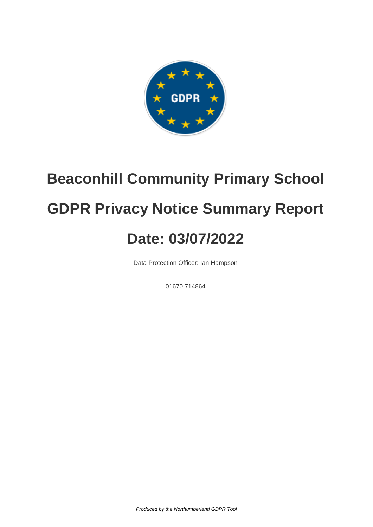

# **Beaconhill Community Primary School GDPR Privacy Notice Summary Report Date: 03/07/2022**

Data Protection Officer: Ian Hampson

01670 714864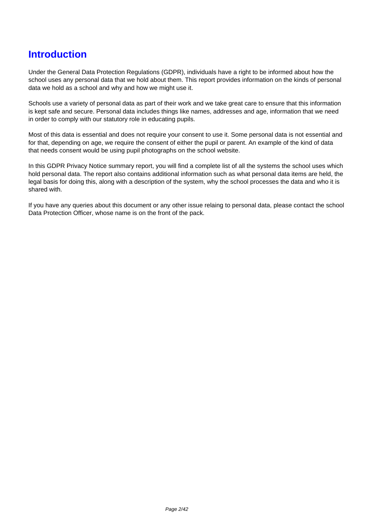### **Introduction**

Under the General Data Protection Regulations (GDPR), individuals have a right to be informed about how the school uses any personal data that we hold about them. This report provides information on the kinds of personal data we hold as a school and why and how we might use it.

Schools use a variety of personal data as part of their work and we take great care to ensure that this information is kept safe and secure. Personal data includes things like names, addresses and age, information that we need in order to comply with our statutory role in educating pupils.

Most of this data is essential and does not require your consent to use it. Some personal data is not essential and for that, depending on age, we require the consent of either the pupil or parent. An example of the kind of data that needs consent would be using pupil photographs on the school website.

In this GDPR Privacy Notice summary report, you will find a complete list of all the systems the school uses which hold personal data. The report also contains additional information such as what personal data items are held, the legal basis for doing this, along with a description of the system, why the school processes the data and who it is shared with.

If you have any queries about this document or any other issue relaing to personal data, please contact the school Data Protection Officer, whose name is on the front of the pack.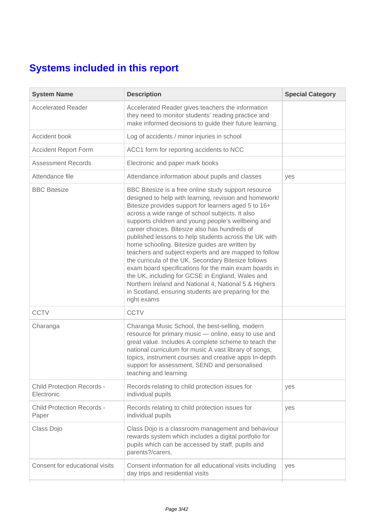## **Systems included in this report**

| <b>System Name</b>                              | <b>Description</b>                                                                                                                                                                                                                                                                                                                                                                                                                                                                                                                                                                                                                                                                                                                                                                                       | <b>Special Category</b> |
|-------------------------------------------------|----------------------------------------------------------------------------------------------------------------------------------------------------------------------------------------------------------------------------------------------------------------------------------------------------------------------------------------------------------------------------------------------------------------------------------------------------------------------------------------------------------------------------------------------------------------------------------------------------------------------------------------------------------------------------------------------------------------------------------------------------------------------------------------------------------|-------------------------|
| <b>Accelerated Reader</b>                       | Accelerated Reader gives teachers the information<br>they need to monitor students' reading practice and<br>make informed decisions to guide their future learning.                                                                                                                                                                                                                                                                                                                                                                                                                                                                                                                                                                                                                                      |                         |
| Accident book                                   | Log of accidents / minor injuries in school                                                                                                                                                                                                                                                                                                                                                                                                                                                                                                                                                                                                                                                                                                                                                              |                         |
| <b>Accident Report Form</b>                     | ACC1 form for reporting accidents to NCC                                                                                                                                                                                                                                                                                                                                                                                                                                                                                                                                                                                                                                                                                                                                                                 |                         |
| <b>Assessment Records</b>                       | Electronic and paper mark books                                                                                                                                                                                                                                                                                                                                                                                                                                                                                                                                                                                                                                                                                                                                                                          |                         |
| Attendance file                                 | Attendance information about pupils and classes                                                                                                                                                                                                                                                                                                                                                                                                                                                                                                                                                                                                                                                                                                                                                          | yes                     |
| <b>BBC Bitesize</b>                             | BBC Bitesize is a free online study support resource<br>designed to help with learning, revision and homework!<br>Bitesize provides support for learners aged 5 to 16+<br>across a wide range of school subjects. It also<br>supports children and young people's wellbeing and<br>career choices. Bitesize also has hundreds of<br>published lessons to help students across the UK with<br>home schooling. Bitesize guides are written by<br>teachers and subject experts and are mapped to follow<br>the curricula of the UK. Secondary Bitesize follows<br>exam board specifications for the main exam boards in<br>the UK, including for GCSE in England, Wales and<br>Northern Ireland and National 4, National 5 & Highers<br>in Scotland, ensuring students are preparing for the<br>right exams |                         |
| <b>CCTV</b>                                     | <b>CCTV</b>                                                                                                                                                                                                                                                                                                                                                                                                                                                                                                                                                                                                                                                                                                                                                                                              |                         |
| Charanga                                        | Charanga Music School, the best-selling, modern<br>resource for primary music - online, easy to use and<br>great value. Includes A complete scheme to teach the<br>national curriculum for music A vast library of songs,<br>topics, instrument courses and creative apps In-depth<br>support for assessment, SEND and personalised<br>teaching and learning                                                                                                                                                                                                                                                                                                                                                                                                                                             |                         |
| <b>Child Protection Records -</b><br>Electronic | Records relating to child protection issues for<br>individual pupils                                                                                                                                                                                                                                                                                                                                                                                                                                                                                                                                                                                                                                                                                                                                     | yes                     |
| <b>Child Protection Records -</b><br>Paper      | Records relating to child protection issues for<br>individual pupils                                                                                                                                                                                                                                                                                                                                                                                                                                                                                                                                                                                                                                                                                                                                     | yes                     |
| Class Dojo                                      | Class Dojo is a classroom management and behaviour<br>rewards system which includes a digital portfolio for<br>pupils which can be accessed by staff, pupils and<br>parents?/carers.                                                                                                                                                                                                                                                                                                                                                                                                                                                                                                                                                                                                                     |                         |
| Consent for educational visits                  | Consent information for all educational visits including<br>day trips and residential visits                                                                                                                                                                                                                                                                                                                                                                                                                                                                                                                                                                                                                                                                                                             | yes                     |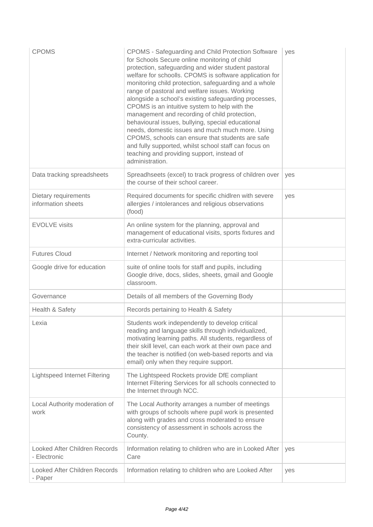| <b>CPOMS</b>                                         | CPOMS - Safeguarding and Child Protection Software<br>for Schools Secure online monitoring of child<br>protection, safeguarding and wider student pastoral<br>welfare for schoolls. CPOMS is software application for<br>monitoring child protection, safeguarding and a whole<br>range of pastoral and welfare issues. Working<br>alongside a school's existing safeguarding processes,<br>CPOMS is an intuitive system to help with the<br>management and recording of child protection,<br>behavioural issues, bullying, special educational<br>needs, domestic issues and much much more. Using<br>CPOMS, schools can ensure that students are safe<br>and fully supported, whilst school staff can focus on<br>teaching and providing support, instead of<br>administration. | yes |
|------------------------------------------------------|-----------------------------------------------------------------------------------------------------------------------------------------------------------------------------------------------------------------------------------------------------------------------------------------------------------------------------------------------------------------------------------------------------------------------------------------------------------------------------------------------------------------------------------------------------------------------------------------------------------------------------------------------------------------------------------------------------------------------------------------------------------------------------------|-----|
| Data tracking spreadsheets                           | Spreadhseets (excel) to track progress of children over<br>the course of their school career.                                                                                                                                                                                                                                                                                                                                                                                                                                                                                                                                                                                                                                                                                     | yes |
| Dietary requirements<br>information sheets           | Required documents for specific chidlren with severe<br>allergies / intolerances and religious observations<br>(food)                                                                                                                                                                                                                                                                                                                                                                                                                                                                                                                                                                                                                                                             | yes |
| <b>EVOLVE</b> visits                                 | An online system for the planning, approval and<br>management of educational visits, sports fixtures and<br>extra-curricular activities.                                                                                                                                                                                                                                                                                                                                                                                                                                                                                                                                                                                                                                          |     |
| <b>Futures Cloud</b>                                 | Internet / Network monitoring and reporting tool                                                                                                                                                                                                                                                                                                                                                                                                                                                                                                                                                                                                                                                                                                                                  |     |
| Google drive for education                           | suite of online tools for staff and pupils, including<br>Google drive, docs, slides, sheets, gmail and Google<br>classroom.                                                                                                                                                                                                                                                                                                                                                                                                                                                                                                                                                                                                                                                       |     |
| Governance                                           | Details of all members of the Governing Body                                                                                                                                                                                                                                                                                                                                                                                                                                                                                                                                                                                                                                                                                                                                      |     |
| Health & Safety                                      | Records pertaining to Health & Safety                                                                                                                                                                                                                                                                                                                                                                                                                                                                                                                                                                                                                                                                                                                                             |     |
| Lexia                                                | Students work independently to develop critical<br>reading and language skills through individualized,<br>motivating learning paths. All students, regardless of<br>their skill level, can each work at their own pace and<br>the teacher is notified (on web-based reports and via<br>email) only when they require support.                                                                                                                                                                                                                                                                                                                                                                                                                                                     |     |
| <b>Lightspeed Internet Filtering</b>                 | The Lightspeed Rockets provide DfE compliant<br>Internet Filtering Services for all schools connected to<br>the Internet through NCC.                                                                                                                                                                                                                                                                                                                                                                                                                                                                                                                                                                                                                                             |     |
| Local Authority moderation of<br>work                | The Local Authority arranges a number of meetings<br>with groups of schools where pupil work is presented<br>along with grades and cross moderated to ensure<br>consistency of assessment in schools across the<br>County.                                                                                                                                                                                                                                                                                                                                                                                                                                                                                                                                                        |     |
| <b>Looked After Children Records</b><br>- Electronic | Information relating to children who are in Looked After<br>Care                                                                                                                                                                                                                                                                                                                                                                                                                                                                                                                                                                                                                                                                                                                  | yes |
| Looked After Children Records<br>- Paper             | Information relating to children who are Looked After                                                                                                                                                                                                                                                                                                                                                                                                                                                                                                                                                                                                                                                                                                                             | yes |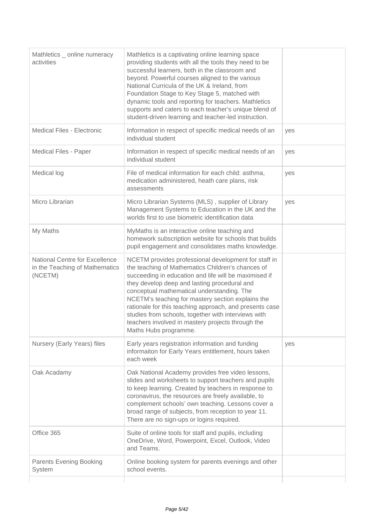| Mathletics _ online numeracy<br>activities                                  | Mathletics is a captivating online learning space<br>providing students with all the tools they need to be<br>successful learners, both in the classroom and<br>beyond. Powerful courses aligned to the various<br>National Curricula of the UK & Ireland, from<br>Foundation Stage to Key Stage 5, matched with<br>dynamic tools and reporting for teachers. Mathletics<br>supports and caters to each teacher's unique blend of<br>student-driven learning and teacher-led instruction.                             |     |
|-----------------------------------------------------------------------------|-----------------------------------------------------------------------------------------------------------------------------------------------------------------------------------------------------------------------------------------------------------------------------------------------------------------------------------------------------------------------------------------------------------------------------------------------------------------------------------------------------------------------|-----|
| Medical Files - Electronic                                                  | Information in respect of specific medical needs of an<br>individual student                                                                                                                                                                                                                                                                                                                                                                                                                                          | yes |
| Medical Files - Paper                                                       | Information in respect of specific medical needs of an<br>individual student                                                                                                                                                                                                                                                                                                                                                                                                                                          | yes |
| Medical log                                                                 | File of medical information for each child: asthma,<br>medication administered, heath care plans, risk<br>assessments                                                                                                                                                                                                                                                                                                                                                                                                 | yes |
| Micro Librarian                                                             | Micro Librarian Systems (MLS), supplier of Library<br>Management Systems to Education in the UK and the<br>worlds first to use biometric identification data                                                                                                                                                                                                                                                                                                                                                          | yes |
| My Maths                                                                    | MyMaths is an interactive online teaching and<br>homework subscription website for schools that builds<br>pupil engagement and consolidates maths knowledge.                                                                                                                                                                                                                                                                                                                                                          |     |
| National Centre for Excellence<br>in the Teaching of Mathematics<br>(NCETM) | NCETM provides professional development for staff in<br>the teaching of Mathematics Children's chances of<br>succeeding in education and life will be maximised if<br>they develop deep and lasting procedural and<br>conceptual mathematical understanding. The<br>NCETM's teaching for mastery section explains the<br>rationale for this teaching approach, and presents case<br>studies from schools, together with interviews with<br>teachers involved in mastery projects through the<br>Maths Hubs programme. |     |
| Nursery (Early Years) files                                                 | Early years registration information and funding<br>informaiton for Early Years entitlement, hours taken<br>each week                                                                                                                                                                                                                                                                                                                                                                                                 | yes |
| Oak Acadamy                                                                 | Oak National Academy provides free video lessons,<br>slides and worksheets to support teachers and pupils<br>to keep learning. Created by teachers in response to<br>coronavirus, the resources are freely available, to<br>complement schools' own teaching. Lessons cover a<br>broad range of subjects, from reception to year 11.<br>There are no sign-ups or logins required.                                                                                                                                     |     |
| Office 365                                                                  | Suite of online tools for staff and pupils, including<br>OneDrive, Word, Powerpoint, Excel, Outlook, Video<br>and Teams.                                                                                                                                                                                                                                                                                                                                                                                              |     |
| <b>Parents Evening Booking</b><br>System                                    | Online booking system for parents evenings and other<br>school events.                                                                                                                                                                                                                                                                                                                                                                                                                                                |     |
|                                                                             |                                                                                                                                                                                                                                                                                                                                                                                                                                                                                                                       |     |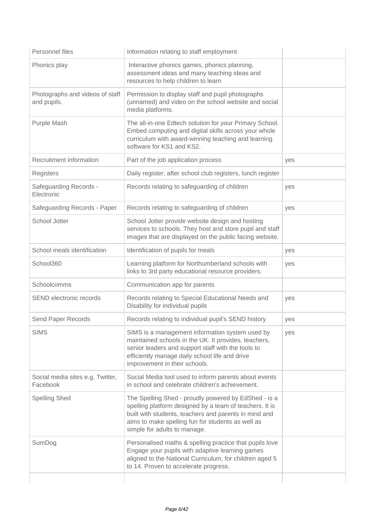| Personnel files                                | Information relating to staff employment                                                                                                                                                                                                                      |     |
|------------------------------------------------|---------------------------------------------------------------------------------------------------------------------------------------------------------------------------------------------------------------------------------------------------------------|-----|
| Phonics play                                   | Interactive phonics games, phonics planning,<br>assessment ideas and many teaching ideas and<br>resources to help children to learn                                                                                                                           |     |
| Photographs and videos of staff<br>and pupils. | Permission to display staff and pupil photographs<br>(unnamed) and video on the school website and social<br>media platforms.                                                                                                                                 |     |
| Purple Mash                                    | The all-in-one Edtech solution for your Primary School.<br>Embed computing and digital skills across your whole<br>curriculum with award-winning teaching and learning<br>software for KS1 and KS2.                                                           |     |
| Recruitment information                        | Part of the job application process                                                                                                                                                                                                                           | yes |
| Registers                                      | Daily register, after school club registers, lunch register                                                                                                                                                                                                   |     |
| Safeguarding Records -<br>Electronic           | Records relating to safeguarding of children                                                                                                                                                                                                                  | yes |
| Safeguarding Records - Paper                   | Records relating to safeguarding of children                                                                                                                                                                                                                  | yes |
| School Jotter                                  | School Jotter provide website design and hosting<br>services to schools. They host and store pupil and staff<br>images that are displayed on the public facing website.                                                                                       |     |
| School meals identification                    | Identification of pupils for meals                                                                                                                                                                                                                            | yes |
| School360                                      | Learning platform for Northumberland schools with<br>links to 3rd party educational resource providers.                                                                                                                                                       | yes |
| Schoolcomms                                    | Communication app for parents                                                                                                                                                                                                                                 |     |
| SEND electronic records                        | Records relating to Special Educational Needs and<br>Disability for individual pupils                                                                                                                                                                         | yes |
| Send Paper Records                             | Records relating to individual pupil's SEND history                                                                                                                                                                                                           | yes |
| <b>SIMS</b>                                    | SIMS is a management information system used by<br>maintained schools in the UK. It provides, teachers,<br>senior leaders and support staff with the tools to<br>efficiently manage daily school life and drive<br>improvement in their schools.              | yes |
| Social media sites e.g. Twitter,<br>Facebook   | Social Media tool used to inform parents about events<br>in school and celebrate children's achievement.                                                                                                                                                      |     |
| <b>Spelling Shed</b>                           | The Spelling Shed - proudly powered by EdShed - is a<br>spelling platform designed by a team of teachers. It is<br>built with students, teachers and parents in mind and<br>aims to make spelling fun for students as well as<br>simple for adults to manage. |     |
| SumDog                                         | Personalised maths & spelling practice that pupils love<br>Engage your pupils with adaptive learning games<br>aligned to the National Curriculum, for children aged 5<br>to 14. Proven to accelerate progress.                                                |     |
|                                                |                                                                                                                                                                                                                                                               |     |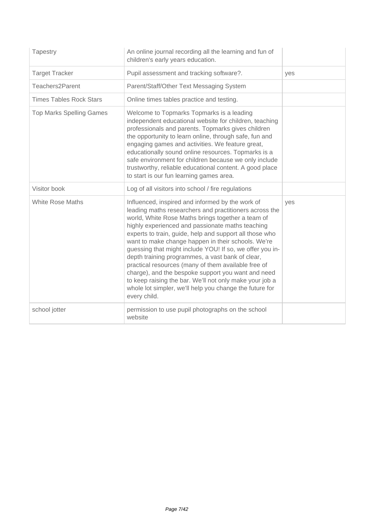| Tapestry                        | An online journal recording all the learning and fun of<br>children's early years education.                                                                                                                                                                                                                                                                                                                                                                                                                                                                                                                                                                                                            |     |
|---------------------------------|---------------------------------------------------------------------------------------------------------------------------------------------------------------------------------------------------------------------------------------------------------------------------------------------------------------------------------------------------------------------------------------------------------------------------------------------------------------------------------------------------------------------------------------------------------------------------------------------------------------------------------------------------------------------------------------------------------|-----|
| <b>Target Tracker</b>           | Pupil assessment and tracking software?.                                                                                                                                                                                                                                                                                                                                                                                                                                                                                                                                                                                                                                                                | yes |
| Teachers2Parent                 | Parent/Staff/Other Text Messaging System                                                                                                                                                                                                                                                                                                                                                                                                                                                                                                                                                                                                                                                                |     |
| <b>Times Tables Rock Stars</b>  | Online times tables practice and testing.                                                                                                                                                                                                                                                                                                                                                                                                                                                                                                                                                                                                                                                               |     |
| <b>Top Marks Spelling Games</b> | Welcome to Topmarks Topmarks is a leading<br>independent educational website for children, teaching<br>professionals and parents. Topmarks gives children<br>the opportunity to learn online, through safe, fun and<br>engaging games and activities. We feature great,<br>educationally sound online resources. Topmarks is a<br>safe environment for children because we only include<br>trustworthy, reliable educational content. A good place<br>to start is our fun learning games area.                                                                                                                                                                                                          |     |
| Visitor book                    | Log of all visitors into school / fire regulations                                                                                                                                                                                                                                                                                                                                                                                                                                                                                                                                                                                                                                                      |     |
| <b>White Rose Maths</b>         | Influenced, inspired and informed by the work of<br>leading maths researchers and practitioners across the<br>world, White Rose Maths brings together a team of<br>highly experienced and passionate maths teaching<br>experts to train, guide, help and support all those who<br>want to make change happen in their schools. We're<br>guessing that might include YOU! If so, we offer you in-<br>depth training programmes, a vast bank of clear,<br>practical resources (many of them available free of<br>charge), and the bespoke support you want and need<br>to keep raising the bar. We'll not only make your job a<br>whole lot simpler, we'll help you change the future for<br>every child. | ves |
| school jotter                   | permission to use pupil photographs on the school<br>website                                                                                                                                                                                                                                                                                                                                                                                                                                                                                                                                                                                                                                            |     |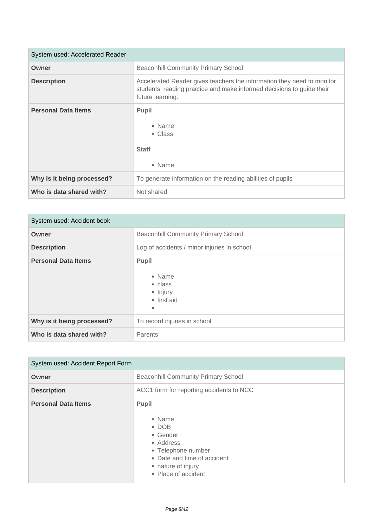| System used: Accelerated Reader |                                                                                                                                                                     |
|---------------------------------|---------------------------------------------------------------------------------------------------------------------------------------------------------------------|
| Owner                           | <b>Beaconhill Community Primary School</b>                                                                                                                          |
| <b>Description</b>              | Accelerated Reader gives teachers the information they need to monitor<br>students' reading practice and make informed decisions to guide their<br>future learning. |
| <b>Personal Data Items</b>      | <b>Pupil</b><br>• Name<br>• Class<br><b>Staff</b><br>• Name                                                                                                         |
| Why is it being processed?      | To generate information on the reading abilities of pupils                                                                                                          |
| Who is data shared with?        | Not shared                                                                                                                                                          |

| System used: Accident book |                                                                           |
|----------------------------|---------------------------------------------------------------------------|
| Owner                      | <b>Beaconhill Community Primary School</b>                                |
| <b>Description</b>         | Log of accidents / minor injuries in school                               |
| <b>Personal Data Items</b> | <b>Pupil</b><br>• Name<br>$\bullet$ class<br>• Injury<br>• first aid<br>٠ |
| Why is it being processed? | To record injuries in school                                              |
| Who is data shared with?   | Parents                                                                   |

| System used: Accident Report Form |                                                                                                                                                             |
|-----------------------------------|-------------------------------------------------------------------------------------------------------------------------------------------------------------|
| Owner                             | <b>Beaconhill Community Primary School</b>                                                                                                                  |
| <b>Description</b>                | ACC1 form for reporting accidents to NCC                                                                                                                    |
| <b>Personal Data Items</b>        | Pupil<br>• Name<br>$\bullet$ DOB<br>• Gender<br>• Address<br>• Telephone number<br>• Date and time of accident<br>• nature of injury<br>• Place of accident |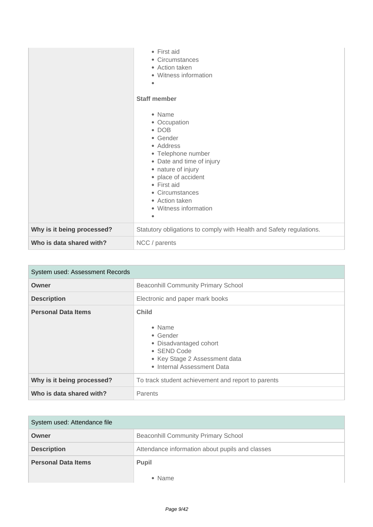|                            | $\bullet$ First aid<br>• Circumstances<br>• Action taken<br>• Witness information<br>$\bullet$<br><b>Staff member</b><br>• Name<br>• Occupation<br>$\bullet$ DOB<br>• Gender<br>• Address<br>• Telephone number<br>• Date and time of injury<br>• nature of injury<br>• place of accident<br>• First aid<br>• Circumstances<br>• Action taken<br>• Witness information<br>$\bullet$ |
|----------------------------|-------------------------------------------------------------------------------------------------------------------------------------------------------------------------------------------------------------------------------------------------------------------------------------------------------------------------------------------------------------------------------------|
| Why is it being processed? | Statutory obligations to comply with Health and Safety regulations.                                                                                                                                                                                                                                                                                                                 |
| Who is data shared with?   | NCC / parents                                                                                                                                                                                                                                                                                                                                                                       |

| System used: Assessment Records |                                                                                                                                                    |  |
|---------------------------------|----------------------------------------------------------------------------------------------------------------------------------------------------|--|
| Owner                           | <b>Beaconhill Community Primary School</b>                                                                                                         |  |
| <b>Description</b>              | Electronic and paper mark books                                                                                                                    |  |
| <b>Personal Data Items</b>      | <b>Child</b><br>• Name<br>$\bullet$ Gender<br>• Disadvantaged cohort<br>• SEND Code<br>• Key Stage 2 Assessment data<br>• Internal Assessment Data |  |
| Why is it being processed?      | To track student achievement and report to parents                                                                                                 |  |
| Who is data shared with?        | Parents                                                                                                                                            |  |

| System used: Attendance file |                                                 |
|------------------------------|-------------------------------------------------|
| Owner                        | <b>Beaconhill Community Primary School</b>      |
| <b>Description</b>           | Attendance information about pupils and classes |
| <b>Personal Data Items</b>   | Pupil                                           |
|                              | $\bullet$ Name                                  |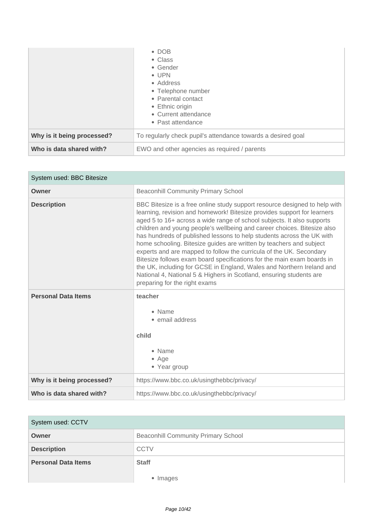|                            | $\bullet$ DOB<br>• Class<br>• Gender<br>$\bullet$ UPN<br>• Address<br>• Telephone number<br>• Parental contact<br>• Ethnic origin<br>• Current attendance<br>• Past attendance |
|----------------------------|--------------------------------------------------------------------------------------------------------------------------------------------------------------------------------|
| Why is it being processed? | To regularly check pupil's attendance towards a desired goal                                                                                                                   |
| Who is data shared with?   | EWO and other agencies as required / parents                                                                                                                                   |

| System used: BBC Bitesize  |                                                                                                                                                                                                                                                                                                                                                                                                                                                                                                                                                                                                                                                                                                                                                                                              |
|----------------------------|----------------------------------------------------------------------------------------------------------------------------------------------------------------------------------------------------------------------------------------------------------------------------------------------------------------------------------------------------------------------------------------------------------------------------------------------------------------------------------------------------------------------------------------------------------------------------------------------------------------------------------------------------------------------------------------------------------------------------------------------------------------------------------------------|
| Owner                      | <b>Beaconhill Community Primary School</b>                                                                                                                                                                                                                                                                                                                                                                                                                                                                                                                                                                                                                                                                                                                                                   |
| <b>Description</b>         | BBC Bitesize is a free online study support resource designed to help with<br>learning, revision and homework! Bitesize provides support for learners<br>aged 5 to 16+ across a wide range of school subjects. It also supports<br>children and young people's wellbeing and career choices. Bitesize also<br>has hundreds of published lessons to help students across the UK with<br>home schooling. Bitesize guides are written by teachers and subject<br>experts and are mapped to follow the curricula of the UK. Secondary<br>Bitesize follows exam board specifications for the main exam boards in<br>the UK, including for GCSE in England, Wales and Northern Ireland and<br>National 4, National 5 & Highers in Scotland, ensuring students are<br>preparing for the right exams |
| <b>Personal Data Items</b> | teacher<br>• Name<br>• email address<br>child<br>• Name<br>$•$ Age<br>• Year group                                                                                                                                                                                                                                                                                                                                                                                                                                                                                                                                                                                                                                                                                                           |
| Why is it being processed? | https://www.bbc.co.uk/usingthebbc/privacy/                                                                                                                                                                                                                                                                                                                                                                                                                                                                                                                                                                                                                                                                                                                                                   |
| Who is data shared with?   | https://www.bbc.co.uk/usingthebbc/privacy/                                                                                                                                                                                                                                                                                                                                                                                                                                                                                                                                                                                                                                                                                                                                                   |

| System used: CCTV          |                                            |
|----------------------------|--------------------------------------------|
| Owner                      | <b>Beaconhill Community Primary School</b> |
| <b>Description</b>         | <b>CCTV</b>                                |
| <b>Personal Data Items</b> | <b>Staff</b>                               |
|                            | ۰<br>Images                                |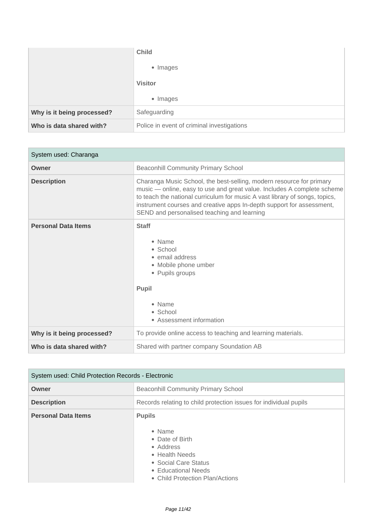|                            | <b>Child</b>                               |
|----------------------------|--------------------------------------------|
|                            | • Images                                   |
|                            | <b>Visitor</b>                             |
|                            | • Images                                   |
| Why is it being processed? | Safeguarding                               |
| Who is data shared with?   | Police in event of criminal investigations |

| System used: Charanga      |                                                                                                                                                                                                                                                                                                                                                        |
|----------------------------|--------------------------------------------------------------------------------------------------------------------------------------------------------------------------------------------------------------------------------------------------------------------------------------------------------------------------------------------------------|
| Owner                      | <b>Beaconhill Community Primary School</b>                                                                                                                                                                                                                                                                                                             |
| <b>Description</b>         | Charanga Music School, the best-selling, modern resource for primary<br>music - online, easy to use and great value. Includes A complete scheme<br>to teach the national curriculum for music A vast library of songs, topics,<br>instrument courses and creative apps In-depth support for assessment,<br>SEND and personalised teaching and learning |
| <b>Personal Data Items</b> | <b>Staff</b><br>$\bullet$ Name<br>$\bullet$ School<br>• email address<br>• Mobile phone umber<br>• Pupils groups<br><b>Pupil</b><br>• Name<br>• School<br>• Assessment information                                                                                                                                                                     |
| Why is it being processed? | To provide online access to teaching and learning materials.                                                                                                                                                                                                                                                                                           |
| Who is data shared with?   | Shared with partner company Soundation AB                                                                                                                                                                                                                                                                                                              |

| System used: Child Protection Records - Electronic |                                                                                                                                                             |
|----------------------------------------------------|-------------------------------------------------------------------------------------------------------------------------------------------------------------|
| Owner                                              | <b>Beaconhill Community Primary School</b>                                                                                                                  |
| <b>Description</b>                                 | Records relating to child protection issues for individual pupils                                                                                           |
| <b>Personal Data Items</b>                         | <b>Pupils</b><br>• Name<br>• Date of Birth<br>• Address<br>• Health Needs<br>• Social Care Status<br>• Educational Needs<br>• Child Protection Plan/Actions |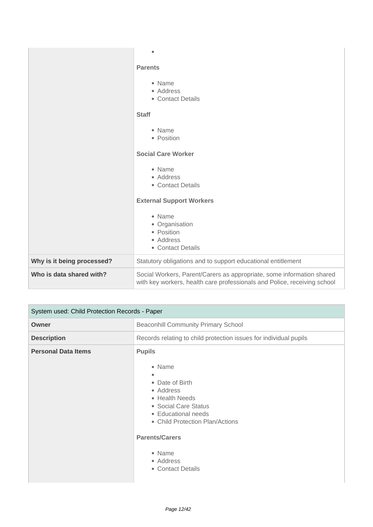|                            | <b>Parents</b><br>• Name<br>• Address<br>• Contact Details<br><b>Staff</b><br>• Name<br>• Position                                                |
|----------------------------|---------------------------------------------------------------------------------------------------------------------------------------------------|
|                            | <b>Social Care Worker</b><br>• Name<br>• Address<br>• Contact Details<br><b>External Support Workers</b>                                          |
|                            | • Name<br>• Organisation<br>• Position<br>• Address<br>• Contact Details                                                                          |
| Why is it being processed? | Statutory obligations and to support educational entitlement                                                                                      |
| Who is data shared with?   | Social Workers, Parent/Carers as appropriate, some information shared<br>with key workers, health care professionals and Police, receiving school |

| System used: Child Protection Records - Paper |                                                                                                                                                                                                                                  |
|-----------------------------------------------|----------------------------------------------------------------------------------------------------------------------------------------------------------------------------------------------------------------------------------|
| Owner                                         | <b>Beaconhill Community Primary School</b>                                                                                                                                                                                       |
| <b>Description</b>                            | Records relating to child protection issues for individual pupils                                                                                                                                                                |
| <b>Personal Data Items</b>                    | <b>Pupils</b><br>• Name<br>• Date of Birth<br>• Address<br>• Health Needs<br>• Social Care Status<br>• Educational needs<br>• Child Protection Plan/Actions<br><b>Parents/Carers</b><br>• Name<br>• Address<br>• Contact Details |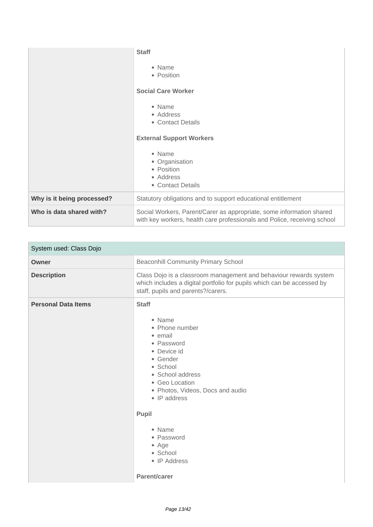|                            | <b>Staff</b><br>• Name<br>• Position<br><b>Social Care Worker</b><br>• Name<br>• Address<br>• Contact Details<br><b>External Support Workers</b><br>• Name<br>• Organisation<br>• Position<br>• Address<br>• Contact Details |
|----------------------------|------------------------------------------------------------------------------------------------------------------------------------------------------------------------------------------------------------------------------|
| Why is it being processed? | Statutory obligations and to support educational entitlement                                                                                                                                                                 |
| Who is data shared with?   | Social Workers, Parent/Carer as appropriate, some information shared<br>with key workers, health care professionals and Police, receiving school                                                                             |

| System used: Class Dojo    |                                                                                                                                                                                                                                     |
|----------------------------|-------------------------------------------------------------------------------------------------------------------------------------------------------------------------------------------------------------------------------------|
| Owner                      | <b>Beaconhill Community Primary School</b>                                                                                                                                                                                          |
| <b>Description</b>         | Class Dojo is a classroom management and behaviour rewards system<br>which includes a digital portfolio for pupils which can be accessed by<br>staff, pupils and parents?/carers.                                                   |
| <b>Personal Data Items</b> | <b>Staff</b><br>• Name<br>• Phone number<br>• email<br>• Password<br>• Device id<br>• Gender<br>• School<br>• School address<br>• Geo Location<br>• Photos, Videos, Docs and audio<br>• IP address<br>Pupil<br>• Name<br>• Password |
|                            | $\bullet$ Age<br>• School<br>• IP Address<br>Parent/carer                                                                                                                                                                           |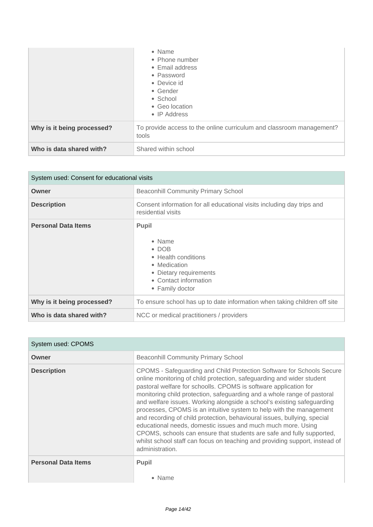|                            | • Name<br>• Phone number<br>• Email address<br>• Password<br>• Device id<br>• Gender<br>• School<br>• Geo location<br>• IP Address |
|----------------------------|------------------------------------------------------------------------------------------------------------------------------------|
| Why is it being processed? | To provide access to the online curriculum and classroom management?<br>tools                                                      |
| Who is data shared with?   | Shared within school                                                                                                               |

| System used: Consent for educational visits |                                                                                                                                                    |
|---------------------------------------------|----------------------------------------------------------------------------------------------------------------------------------------------------|
| Owner                                       | <b>Beaconhill Community Primary School</b>                                                                                                         |
| <b>Description</b>                          | Consent information for all educational visits including day trips and<br>residential visits                                                       |
| <b>Personal Data Items</b>                  | <b>Pupil</b><br>• Name<br>$\cdot$ DOB<br>• Health conditions<br>• Medication<br>• Dietary requirements<br>• Contact information<br>• Family doctor |
| Why is it being processed?                  | To ensure school has up to date information when taking children off site                                                                          |
| Who is data shared with?                    | NCC or medical practitioners / providers                                                                                                           |

| System used: CPOMS         |                                                                                                                                                                                                                                                                                                                                                                                                                                                                                                                                                                                                                                                                                                                                                                       |
|----------------------------|-----------------------------------------------------------------------------------------------------------------------------------------------------------------------------------------------------------------------------------------------------------------------------------------------------------------------------------------------------------------------------------------------------------------------------------------------------------------------------------------------------------------------------------------------------------------------------------------------------------------------------------------------------------------------------------------------------------------------------------------------------------------------|
| Owner                      | <b>Beaconhill Community Primary School</b>                                                                                                                                                                                                                                                                                                                                                                                                                                                                                                                                                                                                                                                                                                                            |
| <b>Description</b>         | CPOMS - Safeguarding and Child Protection Software for Schools Secure<br>online monitoring of child protection, safeguarding and wider student<br>pastoral welfare for schoolls. CPOMS is software application for<br>monitoring child protection, safeguarding and a whole range of pastoral<br>and welfare issues. Working alongside a school's existing safeguarding<br>processes, CPOMS is an intuitive system to help with the management<br>and recording of child protection, behavioural issues, bullying, special<br>educational needs, domestic issues and much much more. Using<br>CPOMS, schools can ensure that students are safe and fully supported,<br>whilst school staff can focus on teaching and providing support, instead of<br>administration. |
| <b>Personal Data Items</b> | <b>Pupil</b><br>• Name                                                                                                                                                                                                                                                                                                                                                                                                                                                                                                                                                                                                                                                                                                                                                |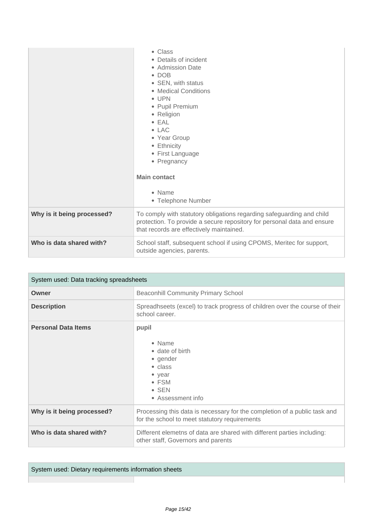|                            | • Class<br>• Details of incident<br>• Admission Date<br>$\bullet$ DOB<br>• SEN, with status<br>• Medical Conditions<br>$\bullet$ UPN<br>• Pupil Premium<br>• Religion<br>$\bullet$ EAL<br>$\bullet$ LAC<br>• Year Group<br>• Ethnicity<br>• First Language<br>• Pregnancy<br><b>Main contact</b><br>• Name<br>• Telephone Number |
|----------------------------|----------------------------------------------------------------------------------------------------------------------------------------------------------------------------------------------------------------------------------------------------------------------------------------------------------------------------------|
| Why is it being processed? | To comply with statutory obligations regarding safeguarding and child<br>protection. To provide a secure repository for personal data and ensure<br>that records are effectively maintained.                                                                                                                                     |
| Who is data shared with?   | School staff, subsequent school if using CPOMS, Meritec for support,<br>outside agencies, parents.                                                                                                                                                                                                                               |

| System used: Data tracking spreadsheets |                                                                                                                                                    |
|-----------------------------------------|----------------------------------------------------------------------------------------------------------------------------------------------------|
| Owner                                   | <b>Beaconhill Community Primary School</b>                                                                                                         |
| <b>Description</b>                      | Spreadhseets (excel) to track progress of children over the course of their<br>school career.                                                      |
| <b>Personal Data Items</b>              | pupil<br>$\bullet$ Name<br>• date of birth<br>• gender<br>$\bullet$ class<br>$\bullet$ year<br>$\bullet$ FSM<br>$\bullet$ SEN<br>• Assessment info |
| Why is it being processed?              | Processing this data is necessary for the completion of a public task and<br>for the school to meet statutory requirements                         |
| Who is data shared with?                | Different elemetns of data are shared with different parties including:<br>other staff, Governors and parents                                      |

System used: Dietary requirements information sheets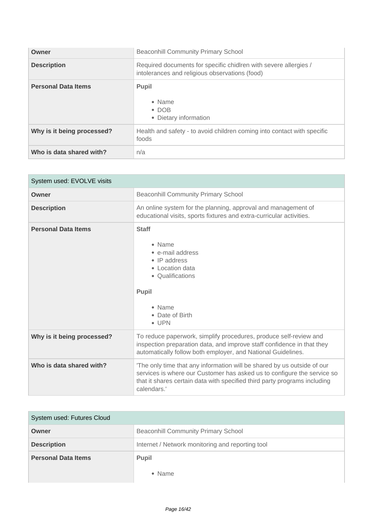| Owner                      | <b>Beaconhill Community Primary School</b>                                                                         |
|----------------------------|--------------------------------------------------------------------------------------------------------------------|
| <b>Description</b>         | Required documents for specific chidIren with severe allergies /<br>intolerances and religious observations (food) |
| <b>Personal Data Items</b> | <b>Pupil</b><br>$\bullet$ Name<br>$\bullet$ DOB<br>• Dietary information                                           |
| Why is it being processed? | Health and safety - to avoid children coming into contact with specific<br>foods                                   |
| Who is data shared with?   | n/a                                                                                                                |

| System used: EVOLVE visits |                                                                                                                                                                                                                                                |
|----------------------------|------------------------------------------------------------------------------------------------------------------------------------------------------------------------------------------------------------------------------------------------|
| Owner                      | <b>Beaconhill Community Primary School</b>                                                                                                                                                                                                     |
| <b>Description</b>         | An online system for the planning, approval and management of<br>educational visits, sports fixtures and extra-curricular activities.                                                                                                          |
| <b>Personal Data Items</b> | <b>Staff</b><br>• Name<br>• e-mail address<br>$\bullet$ IP address<br>• Location data<br>• Qualifications<br><b>Pupil</b><br>• Name<br>• Date of Birth<br>$\bullet$ UPN                                                                        |
| Why is it being processed? | To reduce paperwork, simplify procedures, produce self-review and<br>inspection preparation data, and improve staff confidence in that they<br>automatically follow both employer, and National Guidelines.                                    |
| Who is data shared with?   | 'The only time that any information will be shared by us outside of our<br>services is where our Customer has asked us to configure the service so<br>that it shares certain data with specified third party programs including<br>calendars.' |

| System used: Futures Cloud |                                                  |
|----------------------------|--------------------------------------------------|
| Owner                      | <b>Beaconhill Community Primary School</b>       |
| <b>Description</b>         | Internet / Network monitoring and reporting tool |
| <b>Personal Data Items</b> | <b>Pupil</b>                                     |
|                            | • Name                                           |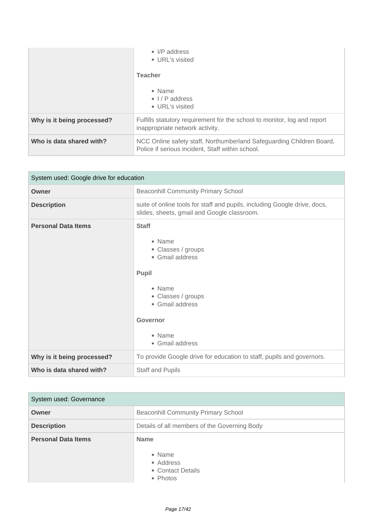|                            | $\bullet$ I/P address<br>• URL's visited                                                                                 |
|----------------------------|--------------------------------------------------------------------------------------------------------------------------|
|                            | <b>Teacher</b>                                                                                                           |
|                            | • Name<br>$\bullet$ $\frac{1}{P}$ address                                                                                |
|                            | • URL's visited                                                                                                          |
| Why is it being processed? | Fulfills statutory requirement for the school to monitor, log and report<br>inappropriate network activity.              |
| Who is data shared with?   | NCC Online safety staff, Northumberland Safeguarding Children Board,<br>Police if serious incident, Staff within school. |

| System used: Google drive for education |                                                                                                                                                                                    |
|-----------------------------------------|------------------------------------------------------------------------------------------------------------------------------------------------------------------------------------|
| Owner                                   | <b>Beaconhill Community Primary School</b>                                                                                                                                         |
| <b>Description</b>                      | suite of online tools for staff and pupils, including Google drive, docs,<br>slides, sheets, gmail and Google classroom.                                                           |
| <b>Personal Data Items</b>              | <b>Staff</b><br>• Name<br>• Classes / groups<br>• Gmail address<br><b>Pupil</b><br>• Name<br>• Classes / groups<br>• Gmail address<br><b>Governor</b><br>• Name<br>• Gmail address |
| Why is it being processed?              | To provide Google drive for education to staff, pupils and governors.                                                                                                              |
| Who is data shared with?                | <b>Staff and Pupils</b>                                                                                                                                                            |

| System used: Governance    |                                                                     |
|----------------------------|---------------------------------------------------------------------|
| Owner                      | <b>Beaconhill Community Primary School</b>                          |
| <b>Description</b>         | Details of all members of the Governing Body                        |
| <b>Personal Data Items</b> | <b>Name</b><br>• Name<br>• Address<br>• Contact Details<br>• Photos |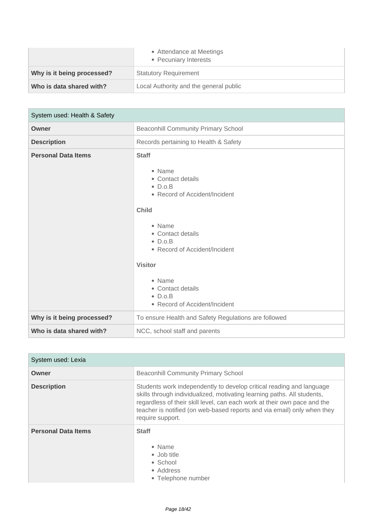|                            | • Attendance at Meetings<br>• Pecuniary Interests |
|----------------------------|---------------------------------------------------|
| Why is it being processed? | <b>Statutory Requirement</b>                      |
| Who is data shared with?   | Local Authority and the general public            |

| System used: Health & Safety |                                                                                                                                                                                                                                                                                                         |
|------------------------------|---------------------------------------------------------------------------------------------------------------------------------------------------------------------------------------------------------------------------------------------------------------------------------------------------------|
| Owner                        | <b>Beaconhill Community Primary School</b>                                                                                                                                                                                                                                                              |
| <b>Description</b>           | Records pertaining to Health & Safety                                                                                                                                                                                                                                                                   |
| <b>Personal Data Items</b>   | <b>Staff</b><br>• Name<br>• Contact details<br>$\bullet$ D.o.B<br>• Record of Accident/Incident<br><b>Child</b><br>• Name<br>• Contact details<br>$\bullet$ D.o.B<br>• Record of Accident/Incident<br><b>Visitor</b><br>• Name<br>• Contact details<br>$\bullet$ D.o.B<br>• Record of Accident/Incident |
| Why is it being processed?   | To ensure Health and Safety Regulations are followed                                                                                                                                                                                                                                                    |
| Who is data shared with?     | NCC, school staff and parents                                                                                                                                                                                                                                                                           |

| System used: Lexia         |                                                                                                                                                                                                                                                                                                                            |
|----------------------------|----------------------------------------------------------------------------------------------------------------------------------------------------------------------------------------------------------------------------------------------------------------------------------------------------------------------------|
| Owner                      | <b>Beaconhill Community Primary School</b>                                                                                                                                                                                                                                                                                 |
| <b>Description</b>         | Students work independently to develop critical reading and language<br>skills through individualized, motivating learning paths. All students,<br>regardless of their skill level, can each work at their own pace and the<br>teacher is notified (on web-based reports and via email) only when they<br>require support. |
| <b>Personal Data Items</b> | <b>Staff</b><br>• Name<br>• Job title<br>• School<br>• Address<br>• Telephone number                                                                                                                                                                                                                                       |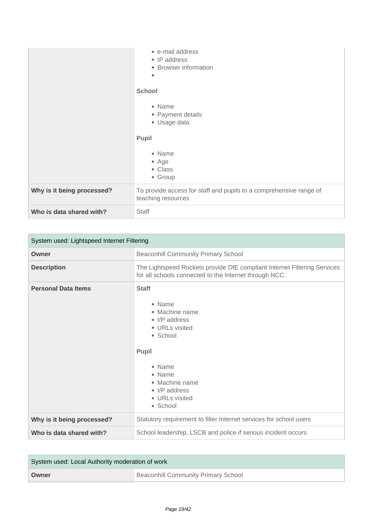|                            | • e-mail address<br>• IP address<br>• Browser information<br>٠                           |
|----------------------------|------------------------------------------------------------------------------------------|
|                            | <b>School</b><br>• Name<br>• Payment details<br>• Usage data<br><b>Pupil</b>             |
|                            | • Name<br>$•$ Age<br>• Class<br>• Group                                                  |
| Why is it being processed? | To provide access for staff and pupils to a comprehensive range of<br>teaching resources |
| Who is data shared with?   | Staff                                                                                    |

| System used: Lightspeed Internet Filtering |                                                                                                                                                                                                       |
|--------------------------------------------|-------------------------------------------------------------------------------------------------------------------------------------------------------------------------------------------------------|
| Owner                                      | <b>Beaconhill Community Primary School</b>                                                                                                                                                            |
| <b>Description</b>                         | The Lightspeed Rockets provide DfE compliant Internet Filtering Services<br>for all schools connected to the Internet through NCC.                                                                    |
| <b>Personal Data Items</b>                 | <b>Staff</b><br>• Name<br>• Machine name<br>$\bullet$ I/P address<br>• URLs visited<br>• School<br>Pupil<br>• Name<br>• Name<br>• Machine name<br>$\bullet$ I/P address<br>• URLs visited<br>• School |
| Why is it being processed?                 | Statutory requirement to filter Internet services for school users                                                                                                                                    |
| Who is data shared with?                   | School leadership, LSCB and police if serious incident occurs                                                                                                                                         |

| System used: Local Authority moderation of work |                                            |
|-------------------------------------------------|--------------------------------------------|
| Owner                                           | <b>Beaconhill Community Primary School</b> |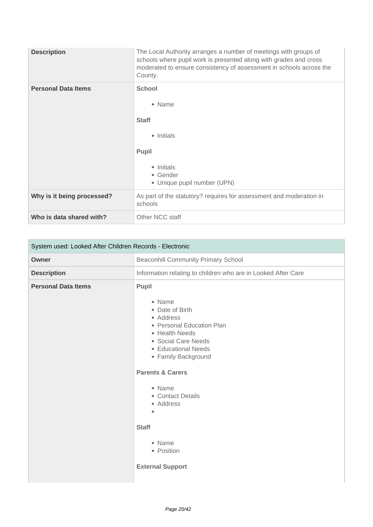| <b>Description</b>         | The Local Authority arranges a number of meetings with groups of<br>schools where pupil work is presented along with grades and cross<br>moderated to ensure consistency of assessment in schools across the<br>County. |
|----------------------------|-------------------------------------------------------------------------------------------------------------------------------------------------------------------------------------------------------------------------|
| <b>Personal Data Items</b> | <b>School</b><br>• Name<br><b>Staff</b><br>• Initials<br><b>Pupil</b><br>• Initials<br>• Gender<br>• Unique pupil number (UPN)                                                                                          |
| Why is it being processed? | As part of the statutory? requires for assessment and moderation in<br>schools                                                                                                                                          |
| Who is data shared with?   | Other NCC staff                                                                                                                                                                                                         |

| System used: Looked After Children Records - Electronic |                                                                                                                                                                                                                                                                                                                                |
|---------------------------------------------------------|--------------------------------------------------------------------------------------------------------------------------------------------------------------------------------------------------------------------------------------------------------------------------------------------------------------------------------|
| <b>Owner</b>                                            | <b>Beaconhill Community Primary School</b>                                                                                                                                                                                                                                                                                     |
| <b>Description</b>                                      | Information relating to children who are in Looked After Care                                                                                                                                                                                                                                                                  |
| <b>Personal Data Items</b>                              | Pupil<br>• Name<br>• Date of Birth<br>• Address<br>• Personal Education Plan<br>• Health Needs<br>• Social Care Needs<br>• Educational Needs<br>• Family Background<br><b>Parents &amp; Carers</b><br>• Name<br>• Contact Details<br>• Address<br>$\bullet$<br><b>Staff</b><br>• Name<br>• Position<br><b>External Support</b> |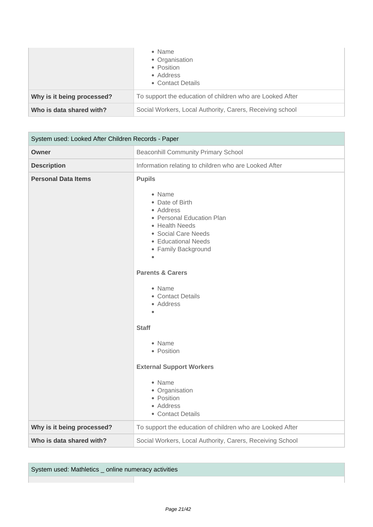|                            | • Name<br>• Organisation<br>• Position<br>• Address<br>• Contact Details |
|----------------------------|--------------------------------------------------------------------------|
| Why is it being processed? | To support the education of children who are Looked After                |
| Who is data shared with?   | Social Workers, Local Authority, Carers, Receiving school                |

| System used: Looked After Children Records - Paper |                                                                                                                                                                                                                                                                                                                                                                                                                    |
|----------------------------------------------------|--------------------------------------------------------------------------------------------------------------------------------------------------------------------------------------------------------------------------------------------------------------------------------------------------------------------------------------------------------------------------------------------------------------------|
| Owner                                              | <b>Beaconhill Community Primary School</b>                                                                                                                                                                                                                                                                                                                                                                         |
| <b>Description</b>                                 | Information relating to children who are Looked After                                                                                                                                                                                                                                                                                                                                                              |
| <b>Personal Data Items</b>                         | <b>Pupils</b><br>• Name<br>• Date of Birth<br>• Address<br>• Personal Education Plan<br>• Health Needs<br>• Social Care Needs<br>• Educational Needs<br>• Family Background<br><b>Parents &amp; Carers</b><br>• Name<br>• Contact Details<br>• Address<br>ö<br><b>Staff</b><br>• Name<br>• Position<br><b>External Support Workers</b><br>• Name<br>• Organisation<br>• Position<br>• Address<br>• Contact Details |
| Why is it being processed?                         | To support the education of children who are Looked After                                                                                                                                                                                                                                                                                                                                                          |
| Who is data shared with?                           | Social Workers, Local Authority, Carers, Receiving School                                                                                                                                                                                                                                                                                                                                                          |

System used: Mathletics \_ online numeracy activities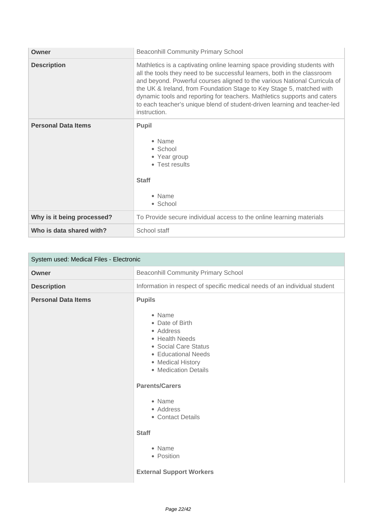| Owner                      | <b>Beaconhill Community Primary School</b>                                                                                                                                                                                                                                                                                                                                                                                                                                          |
|----------------------------|-------------------------------------------------------------------------------------------------------------------------------------------------------------------------------------------------------------------------------------------------------------------------------------------------------------------------------------------------------------------------------------------------------------------------------------------------------------------------------------|
| <b>Description</b>         | Mathletics is a captivating online learning space providing students with<br>all the tools they need to be successful learners, both in the classroom<br>and beyond. Powerful courses aligned to the various National Curricula of<br>the UK & Ireland, from Foundation Stage to Key Stage 5, matched with<br>dynamic tools and reporting for teachers. Mathletics supports and caters<br>to each teacher's unique blend of student-driven learning and teacher-led<br>instruction. |
| <b>Personal Data Items</b> | <b>Pupil</b><br>• Name<br>• School<br>• Year group<br>• Test results<br><b>Staff</b><br>• Name<br>• School                                                                                                                                                                                                                                                                                                                                                                          |
| Why is it being processed? | To Provide secure individual access to the online learning materials                                                                                                                                                                                                                                                                                                                                                                                                                |
| Who is data shared with?   | School staff                                                                                                                                                                                                                                                                                                                                                                                                                                                                        |

| System used: Medical Files - Electronic |                                                                                                                                                                                                                                                                                                                       |
|-----------------------------------------|-----------------------------------------------------------------------------------------------------------------------------------------------------------------------------------------------------------------------------------------------------------------------------------------------------------------------|
| Owner                                   | <b>Beaconhill Community Primary School</b>                                                                                                                                                                                                                                                                            |
| <b>Description</b>                      | Information in respect of specific medical needs of an individual student                                                                                                                                                                                                                                             |
| <b>Personal Data Items</b>              | <b>Pupils</b><br>• Name<br>• Date of Birth<br>• Address<br>• Health Needs<br>• Social Care Status<br>• Educational Needs<br>• Medical History<br>• Medication Details<br><b>Parents/Carers</b><br>• Name<br>• Address<br>• Contact Details<br><b>Staff</b><br>• Name<br>• Position<br><b>External Support Workers</b> |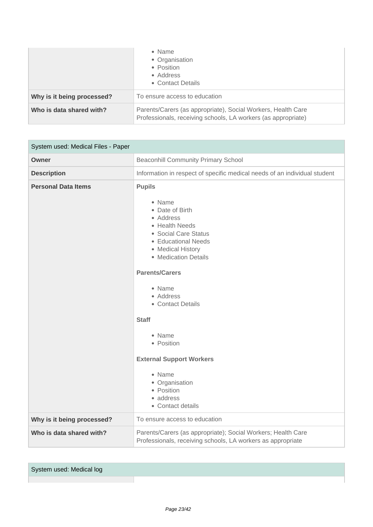|                            | $\bullet$ Name<br>• Organisation<br>• Position<br>• Address<br>• Contact Details                                              |
|----------------------------|-------------------------------------------------------------------------------------------------------------------------------|
| Why is it being processed? | To ensure access to education                                                                                                 |
| Who is data shared with?   | Parents/Carers (as appropriate), Social Workers, Health Care<br>Professionals, receiving schools, LA workers (as appropriate) |

| System used: Medical Files - Paper |                                                                                                                                                                                                                                                                                                                                                                                                   |
|------------------------------------|---------------------------------------------------------------------------------------------------------------------------------------------------------------------------------------------------------------------------------------------------------------------------------------------------------------------------------------------------------------------------------------------------|
| Owner                              | <b>Beaconhill Community Primary School</b>                                                                                                                                                                                                                                                                                                                                                        |
| <b>Description</b>                 | Information in respect of specific medical needs of an individual student                                                                                                                                                                                                                                                                                                                         |
| <b>Personal Data Items</b>         | <b>Pupils</b><br>• Name<br>• Date of Birth<br>• Address<br>• Health Needs<br>• Social Care Status<br>• Educational Needs<br>• Medical History<br>• Medication Details<br><b>Parents/Carers</b><br>• Name<br>• Address<br>• Contact Details<br><b>Staff</b><br>• Name<br>• Position<br><b>External Support Workers</b><br>• Name<br>• Organisation<br>• Position<br>• address<br>• Contact details |
| Why is it being processed?         | To ensure access to education                                                                                                                                                                                                                                                                                                                                                                     |
| Who is data shared with?           | Parents/Carers (as appropriate); Social Workers; Health Care<br>Professionals, receiving schools, LA workers as appropriate                                                                                                                                                                                                                                                                       |

System used: Medical log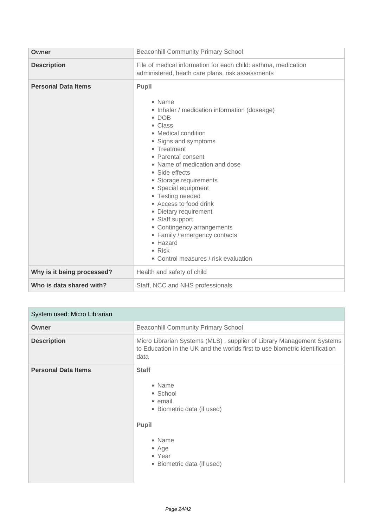| Owner                      | <b>Beaconhill Community Primary School</b>                                                                                                                                                                                                                                                                                                                                                                                                                                                                         |
|----------------------------|--------------------------------------------------------------------------------------------------------------------------------------------------------------------------------------------------------------------------------------------------------------------------------------------------------------------------------------------------------------------------------------------------------------------------------------------------------------------------------------------------------------------|
| <b>Description</b>         | File of medical information for each child: asthma, medication<br>administered, heath care plans, risk assessments                                                                                                                                                                                                                                                                                                                                                                                                 |
| <b>Personal Data Items</b> | Pupil<br>• Name<br>• Inhaler / medication information (doseage)<br>$\bullet$ DOB<br>• Class<br>• Medical condition<br>• Signs and symptoms<br>• Treatment<br>• Parental consent<br>• Name of medication and dose<br>• Side effects<br>• Storage requirements<br>• Special equipment<br>• Testing needed<br>• Access to food drink<br>• Dietary requirement<br>• Staff support<br>• Contingency arrangements<br>• Family / emergency contacts<br>• Hazard<br>$\bullet$ Risk<br>• Control measures / risk evaluation |
| Why is it being processed? | Health and safety of child                                                                                                                                                                                                                                                                                                                                                                                                                                                                                         |
| Who is data shared with?   | Staff, NCC and NHS professionals                                                                                                                                                                                                                                                                                                                                                                                                                                                                                   |

| System used: Micro Librarian |                                                                                                                                                              |
|------------------------------|--------------------------------------------------------------------------------------------------------------------------------------------------------------|
| Owner                        | <b>Beaconhill Community Primary School</b>                                                                                                                   |
| <b>Description</b>           | Micro Librarian Systems (MLS), supplier of Library Management Systems<br>to Education in the UK and the worlds first to use biometric identification<br>data |
| <b>Personal Data Items</b>   | <b>Staff</b><br>• Name<br>• School<br>• email<br>• Biometric data (if used)<br><b>Pupil</b><br>• Name<br>• Age<br>• Year<br>• Biometric data (if used)       |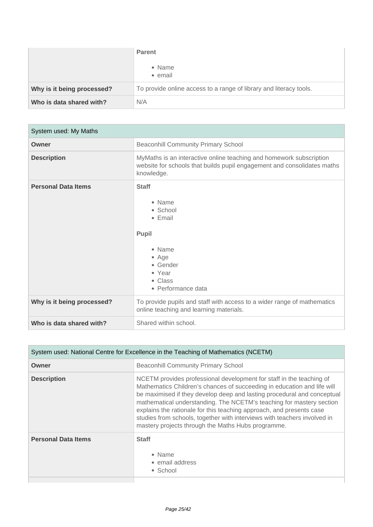|                            | <b>Parent</b><br>• Name<br>• email                                 |
|----------------------------|--------------------------------------------------------------------|
| Why is it being processed? | To provide online access to a range of library and literacy tools. |
| Who is data shared with?   | N/A                                                                |

| System used: My Maths      |                                                                                                                                                              |
|----------------------------|--------------------------------------------------------------------------------------------------------------------------------------------------------------|
| Owner                      | <b>Beaconhill Community Primary School</b>                                                                                                                   |
| <b>Description</b>         | MyMaths is an interactive online teaching and homework subscription<br>website for schools that builds pupil engagement and consolidates maths<br>knowledge. |
| <b>Personal Data Items</b> | <b>Staff</b><br>• Name<br>• School<br>$\bullet$ Email<br><b>Pupil</b><br>• Name<br>• Age<br>• Gender<br>• Year<br>• Class<br>• Performance data              |
| Why is it being processed? | To provide pupils and staff with access to a wider range of mathematics<br>online teaching and learning materials.                                           |
| Who is data shared with?   | Shared within school.                                                                                                                                        |

| System used: National Centre for Excellence in the Teaching of Mathematics (NCETM) |                                                                                                                                                                                                                                                                                                                                                                                                                                                                                                              |
|------------------------------------------------------------------------------------|--------------------------------------------------------------------------------------------------------------------------------------------------------------------------------------------------------------------------------------------------------------------------------------------------------------------------------------------------------------------------------------------------------------------------------------------------------------------------------------------------------------|
| Owner                                                                              | <b>Beaconhill Community Primary School</b>                                                                                                                                                                                                                                                                                                                                                                                                                                                                   |
| <b>Description</b>                                                                 | NCETM provides professional development for staff in the teaching of<br>Mathematics Children's chances of succeeding in education and life will<br>be maximised if they develop deep and lasting procedural and conceptual<br>mathematical understanding. The NCETM's teaching for mastery section<br>explains the rationale for this teaching approach, and presents case<br>studies from schools, together with interviews with teachers involved in<br>mastery projects through the Maths Hubs programme. |
| <b>Personal Data Items</b>                                                         | <b>Staff</b><br>• Name<br>• email address<br>• School                                                                                                                                                                                                                                                                                                                                                                                                                                                        |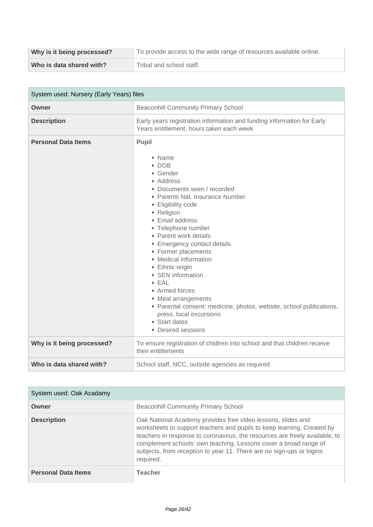| Why is it being processed? | To provide access to the wide range of resources available online. |
|----------------------------|--------------------------------------------------------------------|
| Who is data shared with?   | Tribal and school staff.                                           |

| System used: Nursery (Early Years) files |                                                                                                                                                                                                                                                                                                                                                                                                                                                                                                                                                             |
|------------------------------------------|-------------------------------------------------------------------------------------------------------------------------------------------------------------------------------------------------------------------------------------------------------------------------------------------------------------------------------------------------------------------------------------------------------------------------------------------------------------------------------------------------------------------------------------------------------------|
| <b>Owner</b>                             | <b>Beaconhill Community Primary School</b>                                                                                                                                                                                                                                                                                                                                                                                                                                                                                                                  |
| <b>Description</b>                       | Early years registration information and funding informaiton for Early<br>Years entitlement, hours taken each week                                                                                                                                                                                                                                                                                                                                                                                                                                          |
| <b>Personal Data Items</b>               | Pupil<br>• Name<br>$\bullet$ DOB<br>• Gender<br>• Address<br>• Documents seen / recorded<br>• Parents Nat. Insurance Number<br>• Eligibility code<br>• Religion<br>• Email address<br>• Telephone number<br>• Parent work details<br>• Emergency contact details<br>• Former placements<br>• Medical information<br>• Ethnic origin<br>• SEN information<br>$\bullet$ EAL<br>• Armed forces<br>• Meal arrangements<br>• Parental consent: medicine, photos, website, school publications,<br>press, local excursions<br>• Start dates<br>• Desired sessions |
| Why is it being processed?               | To ensure registration of chidlren into school and that children receive<br>their entitlements                                                                                                                                                                                                                                                                                                                                                                                                                                                              |
| Who is data shared with?                 | School staff, NCC, outside agencies as required                                                                                                                                                                                                                                                                                                                                                                                                                                                                                                             |

| System used: Oak Acadamy   |                                                                                                                                                                                                                                                                                                                                                                                |
|----------------------------|--------------------------------------------------------------------------------------------------------------------------------------------------------------------------------------------------------------------------------------------------------------------------------------------------------------------------------------------------------------------------------|
| Owner                      | <b>Beaconhill Community Primary School</b>                                                                                                                                                                                                                                                                                                                                     |
| <b>Description</b>         | Oak National Academy provides free video lessons, slides and<br>worksheets to support teachers and pupils to keep learning. Created by<br>teachers in response to coronavirus, the resources are freely available, to<br>complement schools' own teaching. Lessons cover a broad range of<br>subjects, from reception to year 11. There are no sign-ups or logins<br>required. |
| <b>Personal Data Items</b> | <b>Teacher</b>                                                                                                                                                                                                                                                                                                                                                                 |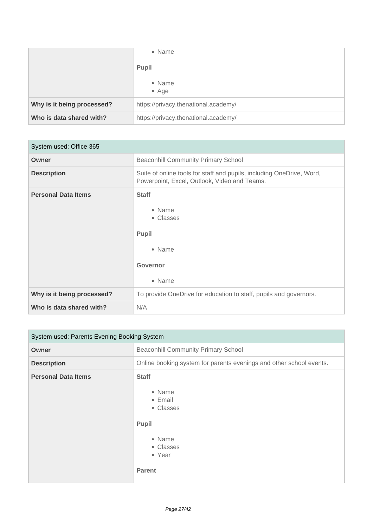|                            | • Name                               |
|----------------------------|--------------------------------------|
|                            | <b>Pupil</b>                         |
|                            | • Name<br>$\bullet$ Age              |
| Why is it being processed? | https://privacy.thenational.academy/ |
| Who is data shared with?   | https://privacy.thenational.academy/ |

| System used: Office 365    |                                                                                                                       |
|----------------------------|-----------------------------------------------------------------------------------------------------------------------|
| Owner                      | <b>Beaconhill Community Primary School</b>                                                                            |
| <b>Description</b>         | Suite of online tools for staff and pupils, including OneDrive, Word,<br>Powerpoint, Excel, Outlook, Video and Teams. |
| <b>Personal Data Items</b> | <b>Staff</b><br>• Name<br>• Classes<br><b>Pupil</b><br>• Name<br><b>Governor</b><br>• Name                            |
| Why is it being processed? | To provide OneDrive for education to staff, pupils and governors.                                                     |
| Who is data shared with?   | N/A                                                                                                                   |

| System used: Parents Evening Booking System |                                                                                                           |
|---------------------------------------------|-----------------------------------------------------------------------------------------------------------|
| Owner                                       | <b>Beaconhill Community Primary School</b>                                                                |
| <b>Description</b>                          | Online booking system for parents evenings and other school events.                                       |
| <b>Personal Data Items</b>                  | <b>Staff</b><br>• Name<br>• Email<br>• Classes<br>Pupil<br>• Name<br>• Classes<br>• Year<br><b>Parent</b> |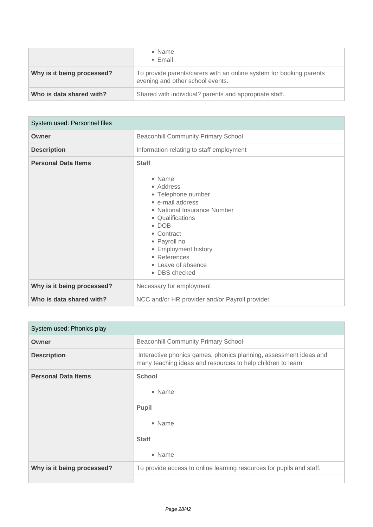|                            | • Name<br>$\bullet$ Email                                                                               |
|----------------------------|---------------------------------------------------------------------------------------------------------|
| Why is it being processed? | To provide parents/carers with an online system for booking parents<br>evening and other school events. |
| Who is data shared with?   | Shared with individual? parents and appropriate staff.                                                  |

| System used: Personnel files |                                                                                                                                                                                                                                                                                 |
|------------------------------|---------------------------------------------------------------------------------------------------------------------------------------------------------------------------------------------------------------------------------------------------------------------------------|
| Owner                        | <b>Beaconhill Community Primary School</b>                                                                                                                                                                                                                                      |
| <b>Description</b>           | Information relating to staff employment                                                                                                                                                                                                                                        |
| <b>Personal Data Items</b>   | <b>Staff</b><br>$\bullet$ Name<br>• Address<br>• Telephone number<br>• e-mail address<br>• National Insurance Number<br>• Qualifications<br>$\bullet$ DOB<br>• Contract<br>• Payroll no.<br>• Employment history<br>• References<br>$\bullet$ Leave of absence<br>• DBS checked |
| Why is it being processed?   | Necessary for employment                                                                                                                                                                                                                                                        |
| Who is data shared with?     | NCC and/or HR provider and/or Payroll provider                                                                                                                                                                                                                                  |

| System used: Phonics play  |                                                                                                                                  |
|----------------------------|----------------------------------------------------------------------------------------------------------------------------------|
| Owner                      | <b>Beaconhill Community Primary School</b>                                                                                       |
| <b>Description</b>         | Interactive phonics games, phonics planning, assessment ideas and<br>many teaching ideas and resources to help children to learn |
| <b>Personal Data Items</b> | <b>School</b><br>• Name<br><b>Pupil</b><br>• Name<br><b>Staff</b><br>• Name                                                      |
| Why is it being processed? | To provide access to online learning resources for pupils and staff.                                                             |
|                            |                                                                                                                                  |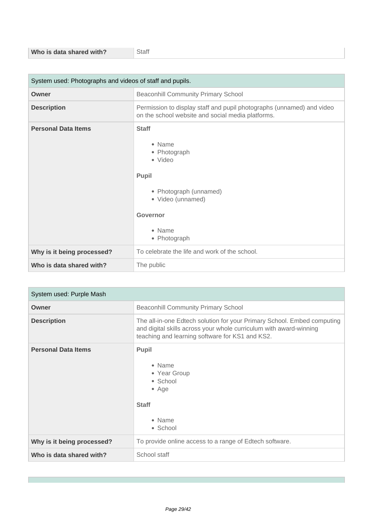| System used: Photographs and videos of staff and pupils. |                                                                                                                                                        |
|----------------------------------------------------------|--------------------------------------------------------------------------------------------------------------------------------------------------------|
| Owner                                                    | <b>Beaconhill Community Primary School</b>                                                                                                             |
| <b>Description</b>                                       | Permission to display staff and pupil photographs (unnamed) and video<br>on the school website and social media platforms.                             |
| <b>Personal Data Items</b>                               | <b>Staff</b><br>• Name<br>• Photograph<br>• Video<br>Pupil<br>• Photograph (unnamed)<br>• Video (unnamed)<br><b>Governor</b><br>• Name<br>• Photograph |
| Why is it being processed?                               | To celebrate the life and work of the school.                                                                                                          |
| Who is data shared with?                                 | The public                                                                                                                                             |

| System used: Purple Mash   |                                                                                                                                                                                                  |
|----------------------------|--------------------------------------------------------------------------------------------------------------------------------------------------------------------------------------------------|
| Owner                      | <b>Beaconhill Community Primary School</b>                                                                                                                                                       |
| <b>Description</b>         | The all-in-one Edtech solution for your Primary School. Embed computing<br>and digital skills across your whole curriculum with award-winning<br>teaching and learning software for KS1 and KS2. |
| <b>Personal Data Items</b> | <b>Pupil</b><br>• Name<br>• Year Group<br>• School<br>$•$ Age<br><b>Staff</b><br>• Name<br>• School                                                                                              |
| Why is it being processed? | To provide online access to a range of Edtech software.                                                                                                                                          |
| Who is data shared with?   | School staff                                                                                                                                                                                     |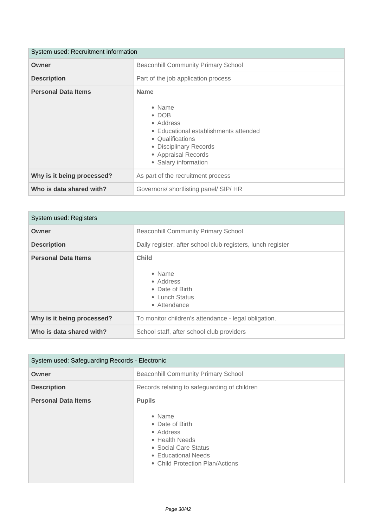| System used: Recruitment information |                                                                                                                                                                                           |
|--------------------------------------|-------------------------------------------------------------------------------------------------------------------------------------------------------------------------------------------|
| Owner                                | <b>Beaconhill Community Primary School</b>                                                                                                                                                |
| <b>Description</b>                   | Part of the job application process                                                                                                                                                       |
| <b>Personal Data Items</b>           | <b>Name</b><br>• Name<br>$\bullet$ DOB<br>• Address<br>• Educational establishments attended<br>• Qualifications<br>• Disciplinary Records<br>• Appraisal Records<br>• Salary information |
| Why is it being processed?           | As part of the recruitment process                                                                                                                                                        |
| Who is data shared with?             | Governors/ shortlisting panel/ SIP/ HR                                                                                                                                                    |

| System used: Registers     |                                                                                          |
|----------------------------|------------------------------------------------------------------------------------------|
| Owner                      | <b>Beaconhill Community Primary School</b>                                               |
| <b>Description</b>         | Daily register, after school club registers, lunch register                              |
| <b>Personal Data Items</b> | <b>Child</b><br>• Name<br>• Address<br>• Date of Birth<br>• Lunch Status<br>• Attendance |
| Why is it being processed? | To monitor children's attendance - legal obligation.                                     |
| Who is data shared with?   | School staff, after school club providers                                                |

| System used: Safeguarding Records - Electronic |                                                                                                                                                             |
|------------------------------------------------|-------------------------------------------------------------------------------------------------------------------------------------------------------------|
| Owner                                          | <b>Beaconhill Community Primary School</b>                                                                                                                  |
| <b>Description</b>                             | Records relating to safeguarding of children                                                                                                                |
| <b>Personal Data Items</b>                     | <b>Pupils</b><br>• Name<br>• Date of Birth<br>• Address<br>• Health Needs<br>• Social Care Status<br>• Educational Needs<br>• Child Protection Plan/Actions |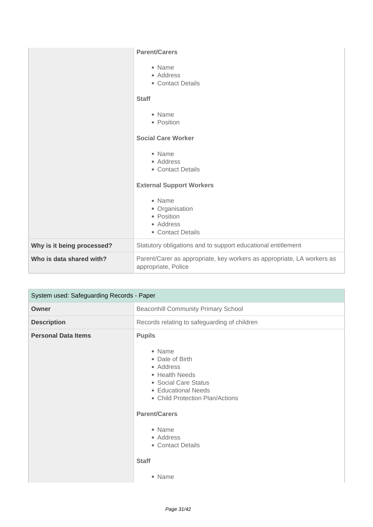|                            | <b>Parent/Carers</b><br>• Name<br>• Address<br>• Contact Details<br><b>Staff</b><br>• Name<br>• Position<br><b>Social Care Worker</b><br>• Name<br>• Address<br>• Contact Details<br><b>External Support Workers</b><br>• Name<br>• Organisation<br>• Position |
|----------------------------|----------------------------------------------------------------------------------------------------------------------------------------------------------------------------------------------------------------------------------------------------------------|
|                            | • Address<br>• Contact Details                                                                                                                                                                                                                                 |
| Why is it being processed? | Statutory obligations and to support educational entitlement                                                                                                                                                                                                   |
| Who is data shared with?   | Parent/Carer as appropriate, key workers as appropriate, LA workers as<br>appropriate, Police                                                                                                                                                                  |

| System used: Safeguarding Records - Paper |                                                                                                                                                                                                                                                 |
|-------------------------------------------|-------------------------------------------------------------------------------------------------------------------------------------------------------------------------------------------------------------------------------------------------|
| Owner                                     | <b>Beaconhill Community Primary School</b>                                                                                                                                                                                                      |
| <b>Description</b>                        | Records relating to safeguarding of children                                                                                                                                                                                                    |
| <b>Personal Data Items</b>                | <b>Pupils</b><br>• Name<br>• Date of Birth<br>• Address<br>• Health Needs<br>• Social Care Status<br>• Educational Needs<br>• Child Protection Plan/Actions<br><b>Parent/Carers</b><br>• Name<br>• Address<br>• Contact Details<br><b>Staff</b> |
|                                           | • Name                                                                                                                                                                                                                                          |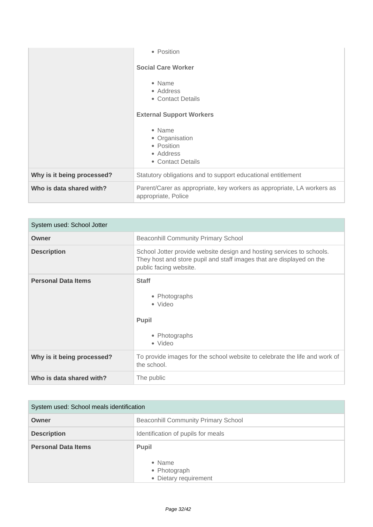|                            | • Position                                                                                    |
|----------------------------|-----------------------------------------------------------------------------------------------|
|                            | <b>Social Care Worker</b>                                                                     |
|                            | • Name<br>• Address<br>• Contact Details                                                      |
|                            | <b>External Support Workers</b>                                                               |
|                            | • Name<br>• Organisation<br>• Position<br>• Address<br>• Contact Details                      |
| Why is it being processed? | Statutory obligations and to support educational entitlement                                  |
| Who is data shared with?   | Parent/Carer as appropriate, key workers as appropriate, LA workers as<br>appropriate, Police |

| System used: School Jotter |                                                                                                                                                                         |
|----------------------------|-------------------------------------------------------------------------------------------------------------------------------------------------------------------------|
| Owner                      | <b>Beaconhill Community Primary School</b>                                                                                                                              |
| <b>Description</b>         | School Jotter provide website design and hosting services to schools.<br>They host and store pupil and staff images that are displayed on the<br>public facing website. |
| <b>Personal Data Items</b> | <b>Staff</b><br>• Photographs<br>• Video<br>Pupil<br>• Photographs<br>• Video                                                                                           |
| Why is it being processed? | To provide images for the school website to celebrate the life and work of<br>the school.                                                                               |
| Who is data shared with?   | The public                                                                                                                                                              |

| System used: School meals identification |                                                                 |
|------------------------------------------|-----------------------------------------------------------------|
| Owner                                    | <b>Beaconhill Community Primary School</b>                      |
| <b>Description</b>                       | Identification of pupils for meals                              |
| <b>Personal Data Items</b>               | <b>Pupil</b><br>• Name<br>• Photograph<br>• Dietary requirement |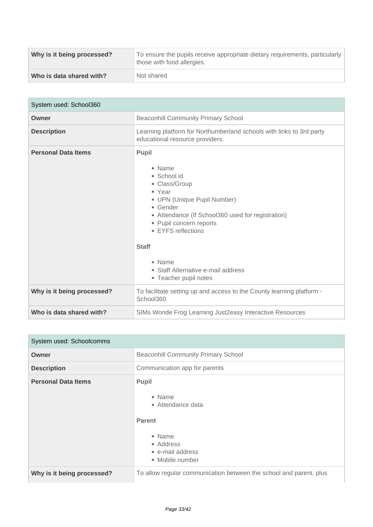| Why is it being processed? | To ensure the pupils receive appropriate dietary requirements, particularly<br>those with food allergies. |
|----------------------------|-----------------------------------------------------------------------------------------------------------|
| Who is data shared with?   | Not shared                                                                                                |

| System used: School360     |                                                                                                                                                                                                                                                                                                             |
|----------------------------|-------------------------------------------------------------------------------------------------------------------------------------------------------------------------------------------------------------------------------------------------------------------------------------------------------------|
| Owner                      | <b>Beaconhill Community Primary School</b>                                                                                                                                                                                                                                                                  |
| <b>Description</b>         | Learning platform for Northumberland schools with links to 3rd party<br>educational resource providers.                                                                                                                                                                                                     |
| <b>Personal Data Items</b> | Pupil<br>• Name<br>• School id<br>• Class/Group<br>• Year<br>• UPN (Unique Pupil Number)<br>$\bullet$ Gender<br>• Attendance (If School360 used for registration)<br>• Pupil concern reports<br>• EYFS reflections<br><b>Staff</b><br>• Name<br>• Staff Alternative e-mail address<br>• Teacher pupil notes |
| Why is it being processed? | To facilitate setting up and access to the County learning platform -<br>School360                                                                                                                                                                                                                          |
| Who is data shared with?   | SIMs Wonde Frog Learning Just2easy Interactive Resources                                                                                                                                                                                                                                                    |

| System used: Schoolcomms   |                                                                                                                     |
|----------------------------|---------------------------------------------------------------------------------------------------------------------|
| Owner                      | <b>Beaconhill Community Primary School</b>                                                                          |
| <b>Description</b>         | Communication app for parents                                                                                       |
| <b>Personal Data Items</b> | Pupil<br>• Name<br>• Attendance data<br><b>Parent</b><br>• Name<br>• Address<br>• e-mail address<br>• Mobile number |
| Why is it being processed? | To allow regular communication between the school and parent, plus                                                  |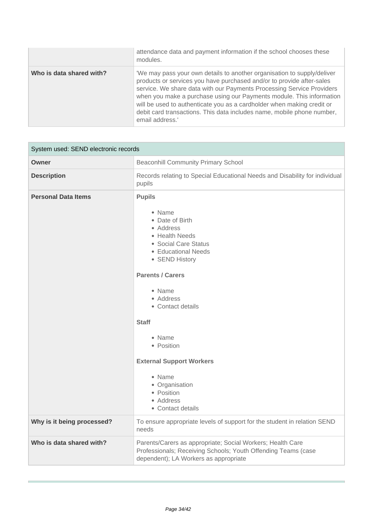|                          | attendance data and payment information if the school chooses these<br>modules.                                                                                                                                                                                                                                                                                                                                                                                          |
|--------------------------|--------------------------------------------------------------------------------------------------------------------------------------------------------------------------------------------------------------------------------------------------------------------------------------------------------------------------------------------------------------------------------------------------------------------------------------------------------------------------|
| Who is data shared with? | 'We may pass your own details to another organisation to supply/deliver<br>products or services you have purchased and/or to provide after-sales<br>service. We share data with our Payments Processing Service Providers<br>when you make a purchase using our Payments module. This information<br>will be used to authenticate you as a cardholder when making credit or<br>debit card transactions. This data includes name, mobile phone number,<br>email address.' |

| System used: SEND electronic records |                                                                                                                                                                                                                                                                                                                                                                          |
|--------------------------------------|--------------------------------------------------------------------------------------------------------------------------------------------------------------------------------------------------------------------------------------------------------------------------------------------------------------------------------------------------------------------------|
| <b>Owner</b>                         | <b>Beaconhill Community Primary School</b>                                                                                                                                                                                                                                                                                                                               |
| <b>Description</b>                   | Records relating to Special Educational Needs and Disability for individual<br>pupils                                                                                                                                                                                                                                                                                    |
| <b>Personal Data Items</b>           | <b>Pupils</b><br>• Name<br>• Date of Birth<br>• Address<br>• Health Needs<br>• Social Care Status<br>• Educational Needs<br>• SEND History<br><b>Parents / Carers</b><br>• Name<br>• Address<br>• Contact details<br><b>Staff</b><br>• Name<br>• Position<br><b>External Support Workers</b><br>• Name<br>• Organisation<br>• Position<br>• Address<br>• Contact details |
| Why is it being processed?           | To ensure appropriate levels of support for the student in relation SEND<br>needs                                                                                                                                                                                                                                                                                        |
| Who is data shared with?             | Parents/Carers as appropriate; Social Workers; Health Care<br>Professionals; Receiving Schools; Youth Offending Teams (case<br>dependent); LA Workers as appropriate                                                                                                                                                                                                     |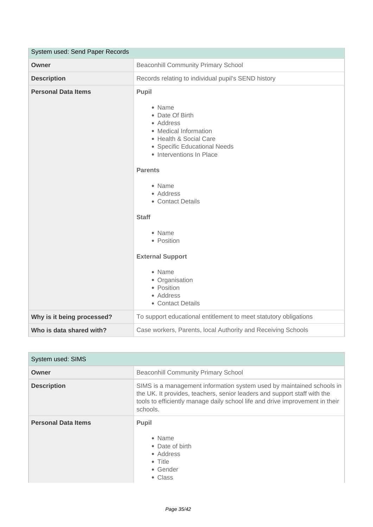| System used: Send Paper Records |                                                                                                                                                                                                                                                                                                                                                                             |
|---------------------------------|-----------------------------------------------------------------------------------------------------------------------------------------------------------------------------------------------------------------------------------------------------------------------------------------------------------------------------------------------------------------------------|
| Owner                           | <b>Beaconhill Community Primary School</b>                                                                                                                                                                                                                                                                                                                                  |
| <b>Description</b>              | Records relating to individual pupil's SEND history                                                                                                                                                                                                                                                                                                                         |
| <b>Personal Data Items</b>      | Pupil<br>• Name<br>• Date Of Birth<br>• Address<br>• Medical Information<br>• Health & Social Care<br>• Specific Educational Needs<br>• Interventions In Place<br><b>Parents</b><br>• Name<br>• Address<br>• Contact Details<br><b>Staff</b><br>• Name<br>• Position<br><b>External Support</b><br>• Name<br>• Organisation<br>• Position<br>• Address<br>• Contact Details |
| Why is it being processed?      | To support educational entitlement to meet statutory obligations                                                                                                                                                                                                                                                                                                            |
| Who is data shared with?        | Case workers, Parents, local Authority and Receiving Schools                                                                                                                                                                                                                                                                                                                |

| System used: SIMS          |                                                                                                                                                                                                                                               |
|----------------------------|-----------------------------------------------------------------------------------------------------------------------------------------------------------------------------------------------------------------------------------------------|
| Owner                      | <b>Beaconhill Community Primary School</b>                                                                                                                                                                                                    |
| <b>Description</b>         | SIMS is a management information system used by maintained schools in<br>the UK. It provides, teachers, senior leaders and support staff with the<br>tools to efficiently manage daily school life and drive improvement in their<br>schools. |
| <b>Personal Data Items</b> | <b>Pupil</b><br>• Name<br>• Date of birth<br>• Address<br>$\bullet$ Title<br>• Gender<br>• Class                                                                                                                                              |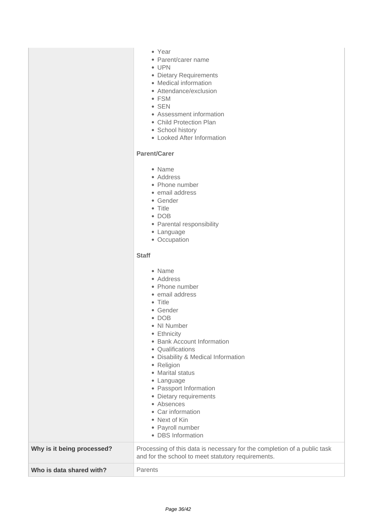- Year
- Parent/carer name
- UPN
- Dietary Requirements
- Medical information
- Attendance/exclusion
- FSM
- SEN
- Assessment information
- Child Protection Plan
- School history
- Looked After Information

### **Parent/Carer**

- Name
- Address
- Phone number
- email address
- Gender
- Title
- DOB
- Parental responsibility
- Language
- Occupation

#### **Staff**

|                            | • Name<br>• Address<br>• Phone number<br>• email address<br>$\bullet$ Title<br>• Gender<br>$\bullet$ DOB<br>• NI Number<br>Ethnicity<br>۰<br>• Bank Account Information<br>• Qualifications<br>• Disability & Medical Information<br>• Religion<br>• Marital status<br>• Language<br>• Passport Information<br>• Dietary requirements<br>• Absences<br>• Car information<br>• Next of Kin<br>• Payroll number<br>• DBS Information |
|----------------------------|------------------------------------------------------------------------------------------------------------------------------------------------------------------------------------------------------------------------------------------------------------------------------------------------------------------------------------------------------------------------------------------------------------------------------------|
| Why is it being processed? | Processing of this data is necessary for the completion of a public task<br>and for the school to meet statutory requirements.                                                                                                                                                                                                                                                                                                     |
| Who is data shared with?   | Parents                                                                                                                                                                                                                                                                                                                                                                                                                            |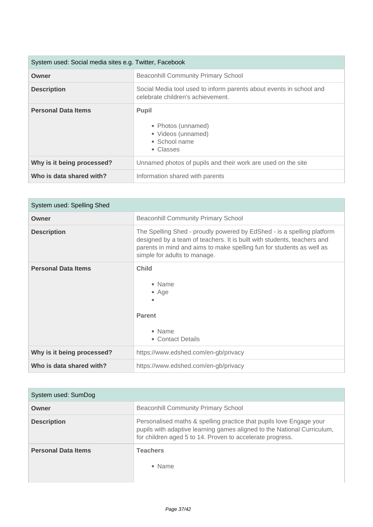| System used: Social media sites e.g. Twitter, Facebook |                                                                                                          |
|--------------------------------------------------------|----------------------------------------------------------------------------------------------------------|
| Owner                                                  | <b>Beaconhill Community Primary School</b>                                                               |
| <b>Description</b>                                     | Social Media tool used to inform parents about events in school and<br>celebrate children's achievement. |
| <b>Personal Data Items</b>                             | <b>Pupil</b><br>• Photos (unnamed)<br>• Videos (unnamed)<br>• School name<br>• Classes                   |
| Why is it being processed?                             | Unnamed photos of pupils and their work are used on the site                                             |
| Who is data shared with?                               | Information shared with parents                                                                          |

| System used: Spelling Shed |                                                                                                                                                                                                                                                            |
|----------------------------|------------------------------------------------------------------------------------------------------------------------------------------------------------------------------------------------------------------------------------------------------------|
| Owner                      | <b>Beaconhill Community Primary School</b>                                                                                                                                                                                                                 |
| <b>Description</b>         | The Spelling Shed - proudly powered by EdShed - is a spelling platform<br>designed by a team of teachers. It is built with students, teachers and<br>parents in mind and aims to make spelling fun for students as well as<br>simple for adults to manage. |
| <b>Personal Data Items</b> | <b>Child</b><br>• Name<br>$\bullet$ Age<br><b>Parent</b><br>• Name<br>• Contact Details                                                                                                                                                                    |
| Why is it being processed? | https://www.edshed.com/en-gb/privacy                                                                                                                                                                                                                       |
| Who is data shared with?   | https://www.edshed.com/en-gb/privacy                                                                                                                                                                                                                       |

| System used: SumDog        |                                                                                                                                                                                                             |
|----------------------------|-------------------------------------------------------------------------------------------------------------------------------------------------------------------------------------------------------------|
| Owner                      | <b>Beaconhill Community Primary School</b>                                                                                                                                                                  |
| <b>Description</b>         | Personalised maths & spelling practice that pupils love Engage your<br>pupils with adaptive learning games aligned to the National Curriculum,<br>for children aged 5 to 14. Proven to accelerate progress. |
| <b>Personal Data Items</b> | <b>Teachers</b><br>$\bullet$ Name                                                                                                                                                                           |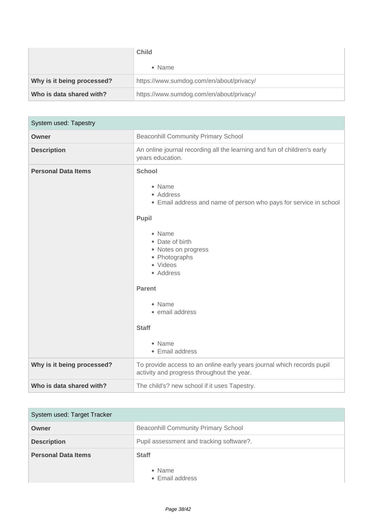|                            | <b>Child</b>                             |
|----------------------------|------------------------------------------|
|                            | • Name                                   |
| Why is it being processed? | https://www.sumdog.com/en/about/privacy/ |
| Who is data shared with?   | https://www.sumdog.com/en/about/privacy/ |

| System used: Tapestry      |                                                                                                                                                                                                                                                                                                             |
|----------------------------|-------------------------------------------------------------------------------------------------------------------------------------------------------------------------------------------------------------------------------------------------------------------------------------------------------------|
| <b>Owner</b>               | <b>Beaconhill Community Primary School</b>                                                                                                                                                                                                                                                                  |
| <b>Description</b>         | An online journal recording all the learning and fun of children's early<br>years education.                                                                                                                                                                                                                |
| <b>Personal Data Items</b> | <b>School</b><br>• Name<br>• Address<br>• Email address and name of person who pays for service in school<br>Pupil<br>• Name<br>• Date of birth<br>• Notes on progress<br>• Photographs<br>• Videos<br>• Address<br><b>Parent</b><br>• Name<br>• email address<br><b>Staff</b><br>• Name<br>• Email address |
| Why is it being processed? | To provide access to an online early years journal which records pupil<br>activity and progress throughout the year.                                                                                                                                                                                        |
| Who is data shared with?   | The child's? new school if it uses Tapestry.                                                                                                                                                                                                                                                                |

| System used: Target Tracker |                                            |
|-----------------------------|--------------------------------------------|
| Owner                       | <b>Beaconhill Community Primary School</b> |
| <b>Description</b>          | Pupil assessment and tracking software?.   |
| <b>Personal Data Items</b>  | <b>Staff</b>                               |
|                             | • Name<br>• Email address                  |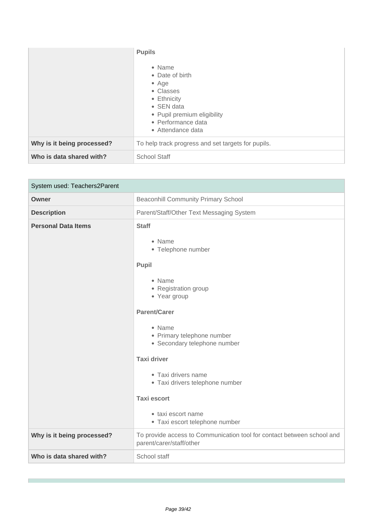|                            | <b>Pupils</b><br>• Name<br>• Date of birth<br>$\bullet$ Age<br>• Classes<br>• Ethnicity<br>$\bullet$ SEN data<br>• Pupil premium eligibility<br>• Performance data<br>• Attendance data |
|----------------------------|-----------------------------------------------------------------------------------------------------------------------------------------------------------------------------------------|
| Why is it being processed? | To help track progress and set targets for pupils.                                                                                                                                      |
| Who is data shared with?   | <b>School Staff</b>                                                                                                                                                                     |

| System used: Teachers2Parent |                                                                                                                                                                                                                                                                                                                                                                      |
|------------------------------|----------------------------------------------------------------------------------------------------------------------------------------------------------------------------------------------------------------------------------------------------------------------------------------------------------------------------------------------------------------------|
| Owner                        | <b>Beaconhill Community Primary School</b>                                                                                                                                                                                                                                                                                                                           |
| <b>Description</b>           | Parent/Staff/Other Text Messaging System                                                                                                                                                                                                                                                                                                                             |
| <b>Personal Data Items</b>   | <b>Staff</b><br>• Name<br>• Telephone number<br>Pupil<br>• Name<br>• Registration group<br>• Year group<br><b>Parent/Carer</b><br>• Name<br>• Primary telephone number<br>• Secondary telephone number<br><b>Taxi driver</b><br>• Taxi drivers name<br>· Taxi drivers telephone number<br><b>Taxi escort</b><br>• taxi escort name<br>• Taxi escort telephone number |
| Why is it being processed?   | To provide access to Communication tool for contact between school and<br>parent/carer/staff/other                                                                                                                                                                                                                                                                   |
| Who is data shared with?     | School staff                                                                                                                                                                                                                                                                                                                                                         |

r.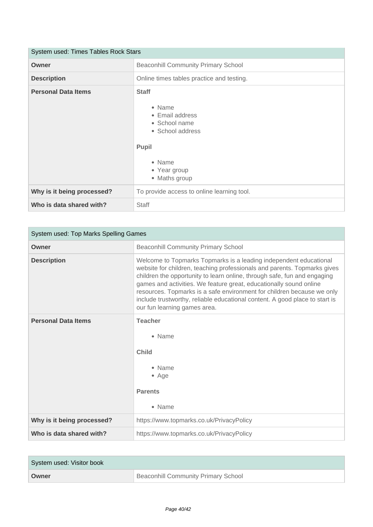| System used: Times Tables Rock Stars |                                                                                                                                           |
|--------------------------------------|-------------------------------------------------------------------------------------------------------------------------------------------|
| Owner                                | <b>Beaconhill Community Primary School</b>                                                                                                |
| <b>Description</b>                   | Online times tables practice and testing.                                                                                                 |
| <b>Personal Data Items</b>           | <b>Staff</b><br>• Name<br>• Email address<br>• School name<br>• School address<br><b>Pupil</b><br>• Name<br>• Year group<br>• Maths group |
| Why is it being processed?           | To provide access to online learning tool.                                                                                                |
| Who is data shared with?             | Staff                                                                                                                                     |

| System used: Top Marks Spelling Games |                                                                                                                                                                                                                                                                                                                                                                                                                                                                                          |
|---------------------------------------|------------------------------------------------------------------------------------------------------------------------------------------------------------------------------------------------------------------------------------------------------------------------------------------------------------------------------------------------------------------------------------------------------------------------------------------------------------------------------------------|
| Owner                                 | <b>Beaconhill Community Primary School</b>                                                                                                                                                                                                                                                                                                                                                                                                                                               |
| <b>Description</b>                    | Welcome to Topmarks Topmarks is a leading independent educational<br>website for children, teaching professionals and parents. Topmarks gives<br>children the opportunity to learn online, through safe, fun and engaging<br>games and activities. We feature great, educationally sound online<br>resources. Topmarks is a safe environment for children because we only<br>include trustworthy, reliable educational content. A good place to start is<br>our fun learning games area. |
| <b>Personal Data Items</b>            | <b>Teacher</b><br>• Name<br><b>Child</b><br>• Name<br>$\bullet$ Age<br><b>Parents</b><br>• Name                                                                                                                                                                                                                                                                                                                                                                                          |
| Why is it being processed?            | https://www.topmarks.co.uk/PrivacyPolicy                                                                                                                                                                                                                                                                                                                                                                                                                                                 |
| Who is data shared with?              | https://www.topmarks.co.uk/PrivacyPolicy                                                                                                                                                                                                                                                                                                                                                                                                                                                 |

| System used: Visitor book |                                     |
|---------------------------|-------------------------------------|
| Owner                     | Beaconhill Community Primary School |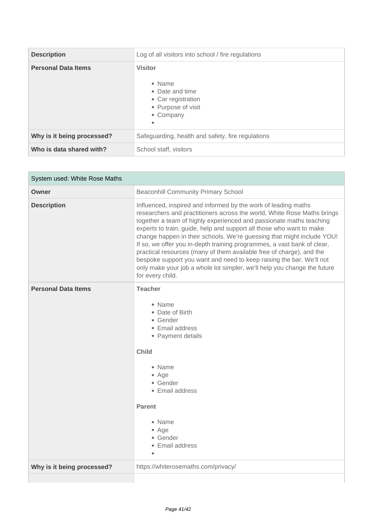| <b>Description</b>         | Log of all visitors into school / fire regulations                                                                |
|----------------------------|-------------------------------------------------------------------------------------------------------------------|
| <b>Personal Data Items</b> | <b>Visitor</b><br>• Name<br>• Date and time<br>• Car registration<br>• Purpose of visit<br>• Company<br>$\bullet$ |
| Why is it being processed? | Safeguarding, health and safety, fire regulations                                                                 |
| Who is data shared with?   | School staff, visitors                                                                                            |

| System used: White Rose Maths |                                                                                                                                                                                                                                                                                                                                                                                                                                                                                                                                                                                                                                                                                               |
|-------------------------------|-----------------------------------------------------------------------------------------------------------------------------------------------------------------------------------------------------------------------------------------------------------------------------------------------------------------------------------------------------------------------------------------------------------------------------------------------------------------------------------------------------------------------------------------------------------------------------------------------------------------------------------------------------------------------------------------------|
| Owner                         | <b>Beaconhill Community Primary School</b>                                                                                                                                                                                                                                                                                                                                                                                                                                                                                                                                                                                                                                                    |
| <b>Description</b>            | Influenced, inspired and informed by the work of leading maths<br>researchers and practitioners across the world, White Rose Maths brings<br>together a team of highly experienced and passionate maths teaching<br>experts to train, guide, help and support all those who want to make<br>change happen in their schools. We're guessing that might include YOU!<br>If so, we offer you in-depth training programmes, a vast bank of clear,<br>practical resources (many of them available free of charge), and the<br>bespoke support you want and need to keep raising the bar. We'll not<br>only make your job a whole lot simpler, we'll help you change the future<br>for every child. |
| <b>Personal Data Items</b>    | <b>Teacher</b><br>• Name<br>• Date of Birth<br>• Gender<br>• Email address<br>• Payment details<br><b>Child</b><br>• Name<br>• Age<br>• Gender<br>• Email address<br><b>Parent</b><br>• Name<br>• Age<br>• Gender<br>• Email address                                                                                                                                                                                                                                                                                                                                                                                                                                                          |
| Why is it being processed?    | https://whiterosemaths.com/privacy/                                                                                                                                                                                                                                                                                                                                                                                                                                                                                                                                                                                                                                                           |
|                               |                                                                                                                                                                                                                                                                                                                                                                                                                                                                                                                                                                                                                                                                                               |